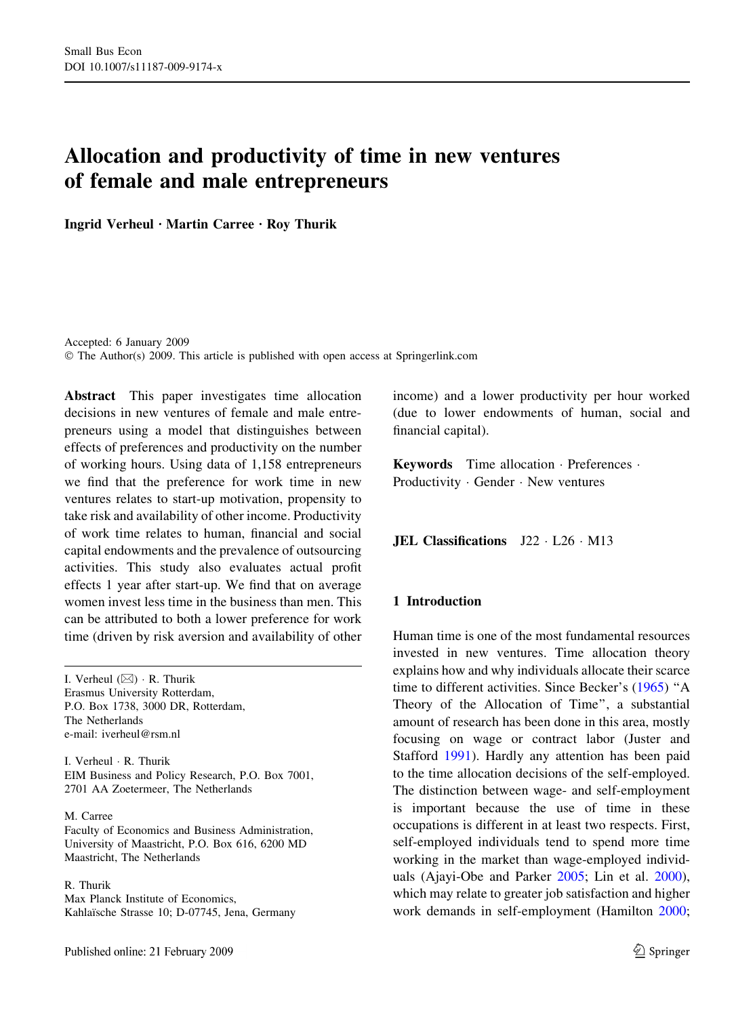# Allocation and productivity of time in new ventures of female and male entrepreneurs

Ingrid Verheul  $\cdot$  Martin Carree  $\cdot$  Roy Thurik

Accepted: 6 January 2009  $\odot$  The Author(s) 2009. This article is published with open access at Springerlink.com

Abstract This paper investigates time allocation decisions in new ventures of female and male entrepreneurs using a model that distinguishes between effects of preferences and productivity on the number of working hours. Using data of 1,158 entrepreneurs we find that the preference for work time in new ventures relates to start-up motivation, propensity to take risk and availability of other income. Productivity of work time relates to human, financial and social capital endowments and the prevalence of outsourcing activities. This study also evaluates actual profit effects 1 year after start-up. We find that on average women invest less time in the business than men. This can be attributed to both a lower preference for work time (driven by risk aversion and availability of other

I. Verheul  $(\boxtimes) \cdot R$ . Thurik Erasmus University Rotterdam, P.O. Box 1738, 3000 DR, Rotterdam, The Netherlands e-mail: iverheul@rsm.nl

I. Verheul · R. Thurik EIM Business and Policy Research, P.O. Box 7001, 2701 AA Zoetermeer, The Netherlands

M. Carree

Faculty of Economics and Business Administration, University of Maastricht, P.O. Box 616, 6200 MD Maastricht, The Netherlands

R. Thurik Max Planck Institute of Economics, Kahlaïsche Strasse 10; D-07745, Jena, Germany income) and a lower productivity per hour worked (due to lower endowments of human, social and financial capital).

Keywords Time allocation · Preferences · Productivity · Gender · New ventures

JEL Classifications J22 · L26 · M13

# 1 Introduction

Human time is one of the most fundamental resources invested in new ventures. Time allocation theory explains how and why individuals allocate their scarce time to different activities. Since Becker's ([1965\)](#page-15-0) ''A Theory of the Allocation of Time'', a substantial amount of research has been done in this area, mostly focusing on wage or contract labor (Juster and Stafford [1991\)](#page-17-0). Hardly any attention has been paid to the time allocation decisions of the self-employed. The distinction between wage- and self-employment is important because the use of time in these occupations is different in at least two respects. First, self-employed individuals tend to spend more time working in the market than wage-employed individuals (Ajayi-Obe and Parker [2005;](#page-15-0) Lin et al. [2000](#page-17-0)), which may relate to greater job satisfaction and higher work demands in self-employment (Hamilton [2000](#page-16-0);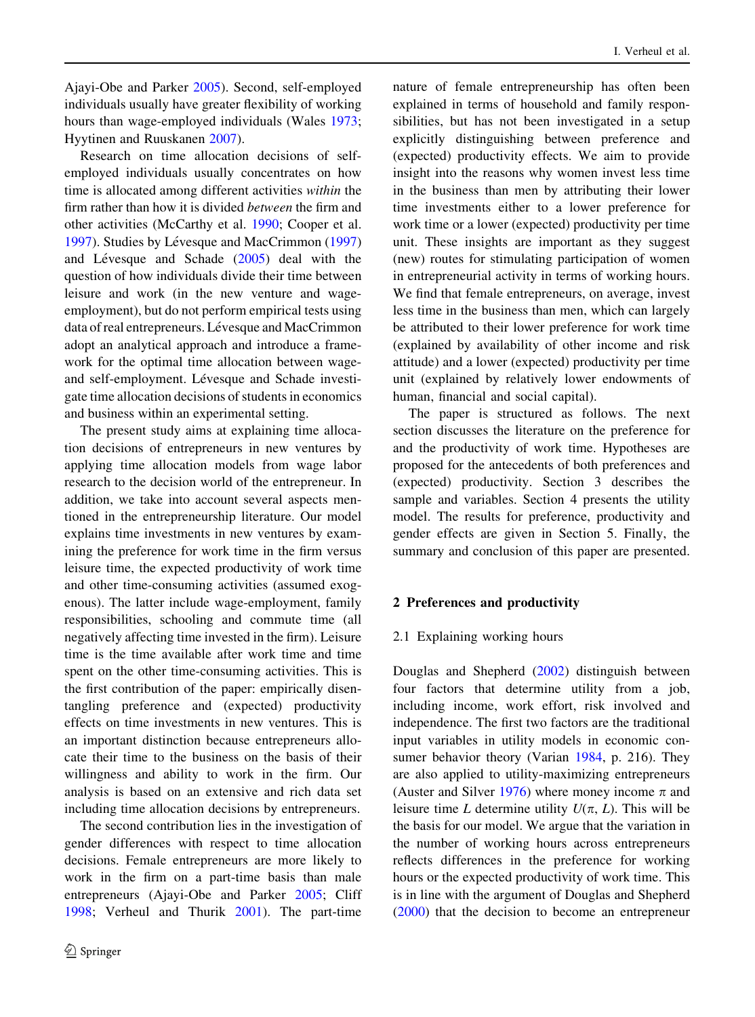Ajayi-Obe and Parker [2005](#page-15-0)). Second, self-employed individuals usually have greater flexibility of working hours than wage-employed individuals (Wales [1973](#page-18-0); Hyytinen and Ruuskanen [2007\)](#page-17-0).

Research on time allocation decisions of selfemployed individuals usually concentrates on how time is allocated among different activities within the firm rather than how it is divided between the firm and other activities (McCarthy et al. [1990](#page-17-0); Cooper et al. [1997\)](#page-17-0). Studies by Lévesque and MacCrimmon (1997) and Lévesque and Schade  $(2005)$  $(2005)$  deal with the question of how individuals divide their time between leisure and work (in the new venture and wageemployment), but do not perform empirical tests using data of real entrepreneurs. Lévesque and MacCrimmon adopt an analytical approach and introduce a framework for the optimal time allocation between wageand self-employment. Lévesque and Schade investigate time allocation decisions of students in economics and business within an experimental setting.

The present study aims at explaining time allocation decisions of entrepreneurs in new ventures by applying time allocation models from wage labor research to the decision world of the entrepreneur. In addition, we take into account several aspects mentioned in the entrepreneurship literature. Our model explains time investments in new ventures by examining the preference for work time in the firm versus leisure time, the expected productivity of work time and other time-consuming activities (assumed exogenous). The latter include wage-employment, family responsibilities, schooling and commute time (all negatively affecting time invested in the firm). Leisure time is the time available after work time and time spent on the other time-consuming activities. This is the first contribution of the paper: empirically disentangling preference and (expected) productivity effects on time investments in new ventures. This is an important distinction because entrepreneurs allocate their time to the business on the basis of their willingness and ability to work in the firm. Our analysis is based on an extensive and rich data set including time allocation decisions by entrepreneurs.

The second contribution lies in the investigation of gender differences with respect to time allocation decisions. Female entrepreneurs are more likely to work in the firm on a part-time basis than male entrepreneurs (Ajayi-Obe and Parker [2005;](#page-15-0) Cliff [1998;](#page-16-0) Verheul and Thurik [2001](#page-18-0)). The part-time

nature of female entrepreneurship has often been explained in terms of household and family responsibilities, but has not been investigated in a setup explicitly distinguishing between preference and (expected) productivity effects. We aim to provide insight into the reasons why women invest less time in the business than men by attributing their lower time investments either to a lower preference for work time or a lower (expected) productivity per time unit. These insights are important as they suggest (new) routes for stimulating participation of women in entrepreneurial activity in terms of working hours. We find that female entrepreneurs, on average, invest less time in the business than men, which can largely be attributed to their lower preference for work time (explained by availability of other income and risk attitude) and a lower (expected) productivity per time unit (explained by relatively lower endowments of human, financial and social capital).

The paper is structured as follows. The next section discusses the literature on the preference for and the productivity of work time. Hypotheses are proposed for the antecedents of both preferences and (expected) productivity. Section 3 describes the sample and variables. Section 4 presents the utility model. The results for preference, productivity and gender effects are given in Section 5. Finally, the summary and conclusion of this paper are presented.

# 2 Preferences and productivity

# 2.1 Explaining working hours

Douglas and Shepherd [\(2002](#page-16-0)) distinguish between four factors that determine utility from a job, including income, work effort, risk involved and independence. The first two factors are the traditional input variables in utility models in economic con-sumer behavior theory (Varian [1984,](#page-18-0) p. 216). They are also applied to utility-maximizing entrepreneurs (Auster and Silver [1976\)](#page-15-0) where money income  $\pi$  and leisure time L determine utility  $U(\pi, L)$ . This will be the basis for our model. We argue that the variation in the number of working hours across entrepreneurs reflects differences in the preference for working hours or the expected productivity of work time. This is in line with the argument of Douglas and Shepherd [\(2000](#page-16-0)) that the decision to become an entrepreneur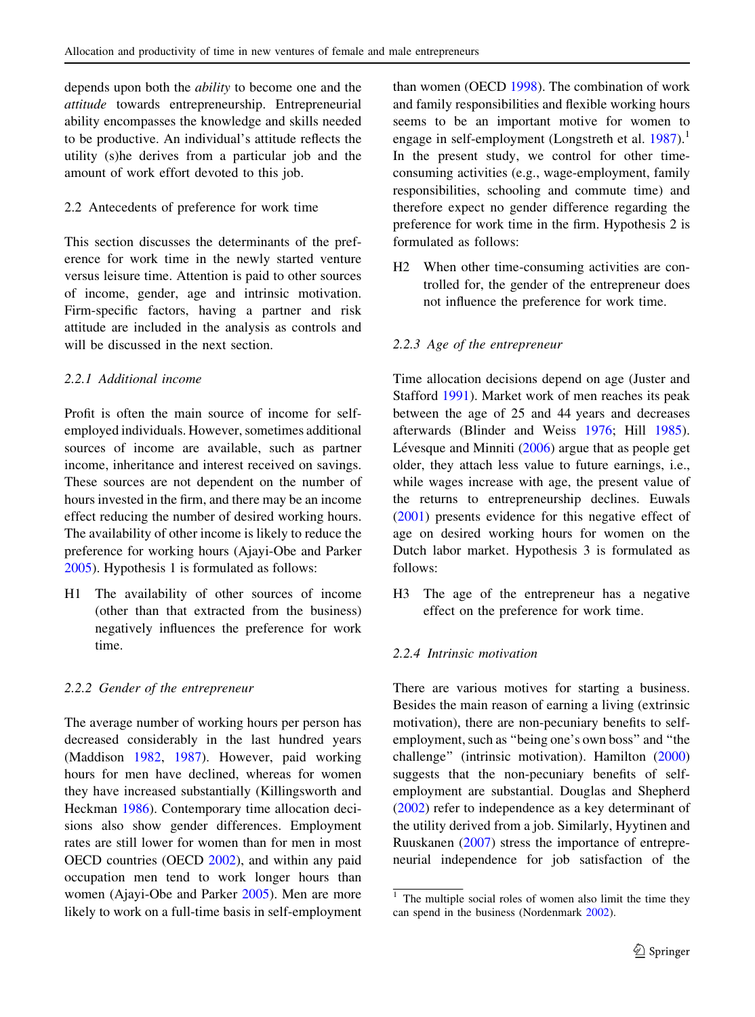depends upon both the ability to become one and the attitude towards entrepreneurship. Entrepreneurial ability encompasses the knowledge and skills needed to be productive. An individual's attitude reflects the utility (s)he derives from a particular job and the amount of work effort devoted to this job.

#### 2.2 Antecedents of preference for work time

This section discusses the determinants of the preference for work time in the newly started venture versus leisure time. Attention is paid to other sources of income, gender, age and intrinsic motivation. Firm-specific factors, having a partner and risk attitude are included in the analysis as controls and will be discussed in the next section.

#### 2.2.1 Additional income

Profit is often the main source of income for selfemployed individuals. However, sometimes additional sources of income are available, such as partner income, inheritance and interest received on savings. These sources are not dependent on the number of hours invested in the firm, and there may be an income effect reducing the number of desired working hours. The availability of other income is likely to reduce the preference for working hours (Ajayi-Obe and Parker [2005\)](#page-15-0). Hypothesis 1 is formulated as follows:

H1 The availability of other sources of income (other than that extracted from the business) negatively influences the preference for work time.

#### 2.2.2 Gender of the entrepreneur

The average number of working hours per person has decreased considerably in the last hundred years (Maddison [1982,](#page-17-0) [1987](#page-17-0)). However, paid working hours for men have declined, whereas for women they have increased substantially (Killingsworth and Heckman [1986](#page-17-0)). Contemporary time allocation decisions also show gender differences. Employment rates are still lower for women than for men in most OECD countries (OECD [2002](#page-17-0)), and within any paid occupation men tend to work longer hours than women (Ajayi-Obe and Parker [2005](#page-15-0)). Men are more likely to work on a full-time basis in self-employment

than women (OECD [1998\)](#page-17-0). The combination of work and family responsibilities and flexible working hours seems to be an important motive for women to engage in self-employment (Longstreth et al.  $1987$ ).<sup>1</sup> In the present study, we control for other timeconsuming activities (e.g., wage-employment, family responsibilities, schooling and commute time) and therefore expect no gender difference regarding the preference for work time in the firm. Hypothesis 2 is formulated as follows:

H2 When other time-consuming activities are controlled for, the gender of the entrepreneur does not influence the preference for work time.

#### 2.2.3 Age of the entrepreneur

Time allocation decisions depend on age (Juster and Stafford [1991\)](#page-17-0). Market work of men reaches its peak between the age of 25 and 44 years and decreases afterwards (Blinder and Weiss [1976;](#page-16-0) Hill [1985](#page-16-0)). Lévesque and Minniti  $(2006)$  $(2006)$  argue that as people get older, they attach less value to future earnings, i.e., while wages increase with age, the present value of the returns to entrepreneurship declines. Euwals [\(2001](#page-16-0)) presents evidence for this negative effect of age on desired working hours for women on the Dutch labor market. Hypothesis 3 is formulated as follows:

H3 The age of the entrepreneur has a negative effect on the preference for work time.

#### 2.2.4 Intrinsic motivation

There are various motives for starting a business. Besides the main reason of earning a living (extrinsic motivation), there are non-pecuniary benefits to selfemployment, such as ''being one's own boss'' and ''the challenge'' (intrinsic motivation). Hamilton ([2000\)](#page-16-0) suggests that the non-pecuniary benefits of selfemployment are substantial. Douglas and Shepherd [\(2002](#page-16-0)) refer to independence as a key determinant of the utility derived from a job. Similarly, Hyytinen and Ruuskanen ([2007\)](#page-17-0) stress the importance of entrepreneurial independence for job satisfaction of the

 $1$  The multiple social roles of women also limit the time they can spend in the business (Nordenmark [2002\)](#page-17-0).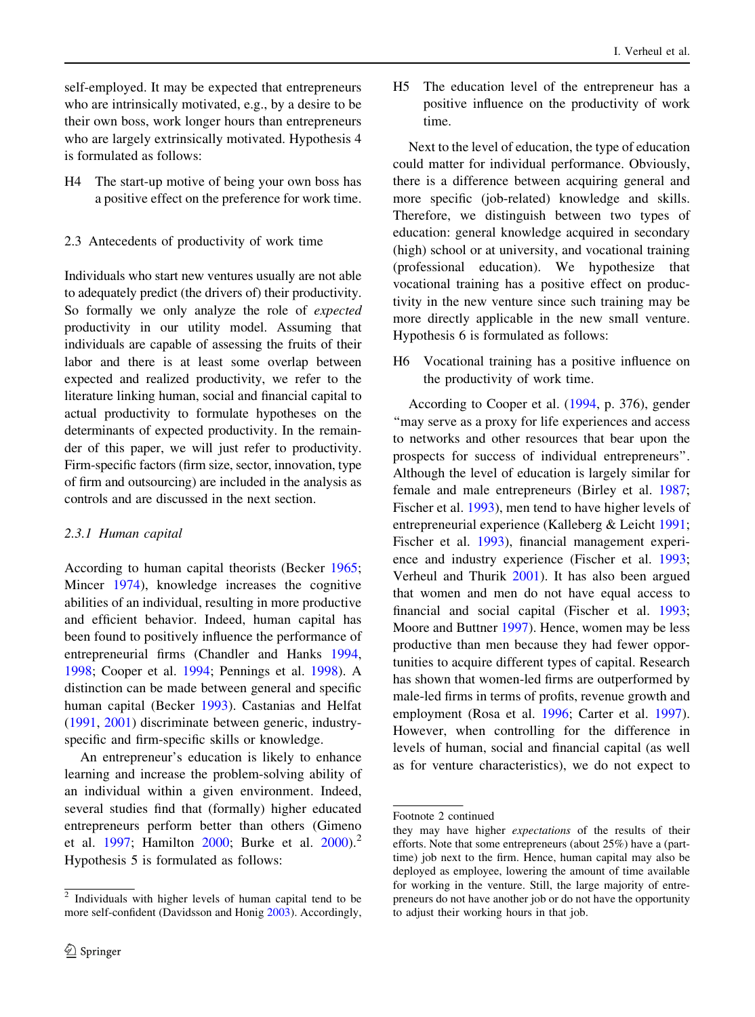self-employed. It may be expected that entrepreneurs who are intrinsically motivated, e.g., by a desire to be their own boss, work longer hours than entrepreneurs who are largely extrinsically motivated. Hypothesis 4 is formulated as follows:

- H4 The start-up motive of being your own boss has a positive effect on the preference for work time.
- 2.3 Antecedents of productivity of work time

Individuals who start new ventures usually are not able to adequately predict (the drivers of) their productivity. So formally we only analyze the role of expected productivity in our utility model. Assuming that individuals are capable of assessing the fruits of their labor and there is at least some overlap between expected and realized productivity, we refer to the literature linking human, social and financial capital to actual productivity to formulate hypotheses on the determinants of expected productivity. In the remainder of this paper, we will just refer to productivity. Firm-specific factors (firm size, sector, innovation, type of firm and outsourcing) are included in the analysis as controls and are discussed in the next section.

#### 2.3.1 Human capital

According to human capital theorists (Becker [1965](#page-15-0); Mincer [1974\)](#page-17-0), knowledge increases the cognitive abilities of an individual, resulting in more productive and efficient behavior. Indeed, human capital has been found to positively influence the performance of entrepreneurial firms (Chandler and Hanks [1994,](#page-16-0) [1998;](#page-16-0) Cooper et al. [1994](#page-16-0); Pennings et al. [1998](#page-17-0)). A distinction can be made between general and specific human capital (Becker [1993](#page-15-0)). Castanias and Helfat [\(1991](#page-16-0), [2001\)](#page-16-0) discriminate between generic, industryspecific and firm-specific skills or knowledge.

An entrepreneur's education is likely to enhance learning and increase the problem-solving ability of an individual within a given environment. Indeed, several studies find that (formally) higher educated entrepreneurs perform better than others (Gimeno et al. [1997;](#page-16-0) Hamilton [2000](#page-16-0); Burke et al.  $2000$ .<sup>2</sup> Hypothesis 5 is formulated as follows:

H5 The education level of the entrepreneur has a positive influence on the productivity of work time.

Next to the level of education, the type of education could matter for individual performance. Obviously, there is a difference between acquiring general and more specific (job-related) knowledge and skills. Therefore, we distinguish between two types of education: general knowledge acquired in secondary (high) school or at university, and vocational training (professional education). We hypothesize that vocational training has a positive effect on productivity in the new venture since such training may be more directly applicable in the new small venture. Hypothesis 6 is formulated as follows:

H6 Vocational training has a positive influence on the productivity of work time.

According to Cooper et al. [\(1994](#page-16-0), p. 376), gender "may serve as a proxy for life experiences and access" to networks and other resources that bear upon the prospects for success of individual entrepreneurs''. Although the level of education is largely similar for female and male entrepreneurs (Birley et al. [1987](#page-16-0); Fischer et al. [1993\)](#page-16-0), men tend to have higher levels of entrepreneurial experience (Kalleberg & Leicht [1991](#page-17-0); Fischer et al. [1993\)](#page-16-0), financial management experience and industry experience (Fischer et al. [1993](#page-16-0); Verheul and Thurik [2001\)](#page-18-0). It has also been argued that women and men do not have equal access to financial and social capital (Fischer et al. [1993](#page-16-0); Moore and Buttner [1997](#page-17-0)). Hence, women may be less productive than men because they had fewer opportunities to acquire different types of capital. Research has shown that women-led firms are outperformed by male-led firms in terms of profits, revenue growth and employment (Rosa et al. [1996](#page-17-0); Carter et al. [1997](#page-16-0)). However, when controlling for the difference in levels of human, social and financial capital (as well as for venture characteristics), we do not expect to

 $\frac{2}{3}$  Individuals with higher levels of human capital tend to be more self-confident (Davidsson and Honig [2003\)](#page-16-0). Accordingly,

Footnote 2 continued

they may have higher expectations of the results of their efforts. Note that some entrepreneurs (about 25%) have a (parttime) job next to the firm. Hence, human capital may also be deployed as employee, lowering the amount of time available for working in the venture. Still, the large majority of entrepreneurs do not have another job or do not have the opportunity to adjust their working hours in that job.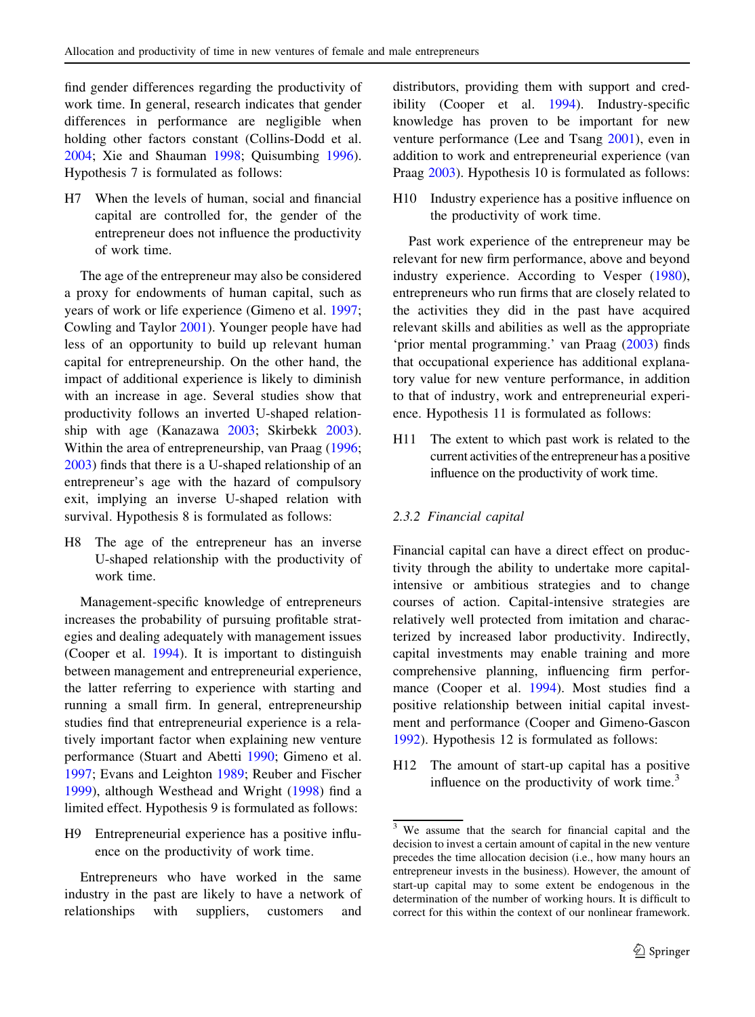find gender differences regarding the productivity of work time. In general, research indicates that gender differences in performance are negligible when holding other factors constant (Collins-Dodd et al. [2004;](#page-16-0) Xie and Shauman [1998;](#page-18-0) Quisumbing [1996](#page-17-0)). Hypothesis 7 is formulated as follows:

H7 When the levels of human, social and financial capital are controlled for, the gender of the entrepreneur does not influence the productivity of work time.

The age of the entrepreneur may also be considered a proxy for endowments of human capital, such as years of work or life experience (Gimeno et al. [1997](#page-16-0); Cowling and Taylor [2001](#page-16-0)). Younger people have had less of an opportunity to build up relevant human capital for entrepreneurship. On the other hand, the impact of additional experience is likely to diminish with an increase in age. Several studies show that productivity follows an inverted U-shaped relationship with age (Kanazawa [2003](#page-17-0); Skirbekk [2003](#page-17-0)). Within the area of entrepreneurship, van Praag [\(1996](#page-18-0); [2003\)](#page-18-0) finds that there is a U-shaped relationship of an entrepreneur's age with the hazard of compulsory exit, implying an inverse U-shaped relation with survival. Hypothesis 8 is formulated as follows:

H8 The age of the entrepreneur has an inverse U-shaped relationship with the productivity of work time.

Management-specific knowledge of entrepreneurs increases the probability of pursuing profitable strategies and dealing adequately with management issues (Cooper et al. [1994](#page-16-0)). It is important to distinguish between management and entrepreneurial experience, the latter referring to experience with starting and running a small firm. In general, entrepreneurship studies find that entrepreneurial experience is a relatively important factor when explaining new venture performance (Stuart and Abetti [1990;](#page-17-0) Gimeno et al. [1997;](#page-16-0) Evans and Leighton [1989](#page-16-0); Reuber and Fischer [1999\)](#page-17-0), although Westhead and Wright ([1998\)](#page-18-0) find a limited effect. Hypothesis 9 is formulated as follows:

H9 Entrepreneurial experience has a positive influence on the productivity of work time.

Entrepreneurs who have worked in the same industry in the past are likely to have a network of relationships with suppliers, customers and

distributors, providing them with support and credibility (Cooper et al. [1994\)](#page-16-0). Industry-specific knowledge has proven to be important for new venture performance (Lee and Tsang [2001\)](#page-17-0), even in addition to work and entrepreneurial experience (van Praag [2003\)](#page-18-0). Hypothesis 10 is formulated as follows:

H10 Industry experience has a positive influence on the productivity of work time.

Past work experience of the entrepreneur may be relevant for new firm performance, above and beyond industry experience. According to Vesper ([1980](#page-18-0)), entrepreneurs who run firms that are closely related to the activities they did in the past have acquired relevant skills and abilities as well as the appropriate 'prior mental programming.' van Praag [\(2003](#page-18-0)) finds that occupational experience has additional explanatory value for new venture performance, in addition to that of industry, work and entrepreneurial experience. Hypothesis 11 is formulated as follows:

H11 The extent to which past work is related to the current activities of the entrepreneur has a positive influence on the productivity of work time.

# 2.3.2 Financial capital

Financial capital can have a direct effect on productivity through the ability to undertake more capitalintensive or ambitious strategies and to change courses of action. Capital-intensive strategies are relatively well protected from imitation and characterized by increased labor productivity. Indirectly, capital investments may enable training and more comprehensive planning, influencing firm performance (Cooper et al. [1994\)](#page-16-0). Most studies find a positive relationship between initial capital investment and performance (Cooper and Gimeno-Gascon [1992\)](#page-16-0). Hypothesis 12 is formulated as follows:

H12 The amount of start-up capital has a positive influence on the productivity of work time. $3$ 

 $\frac{3}{3}$  We assume that the search for financial capital and the decision to invest a certain amount of capital in the new venture precedes the time allocation decision (i.e., how many hours an entrepreneur invests in the business). However, the amount of start-up capital may to some extent be endogenous in the determination of the number of working hours. It is difficult to correct for this within the context of our nonlinear framework.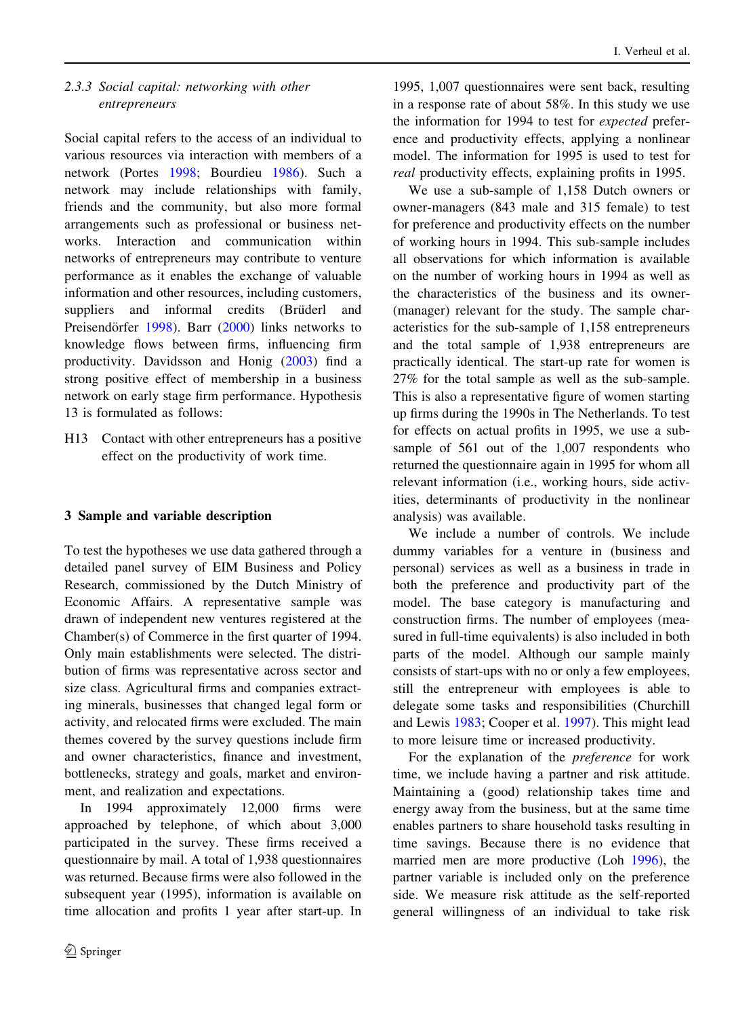# 2.3.3 Social capital: networking with other entrepreneurs

Social capital refers to the access of an individual to various resources via interaction with members of a network (Portes [1998](#page-17-0); Bourdieu [1986](#page-16-0)). Such a network may include relationships with family, friends and the community, but also more formal arrangements such as professional or business networks. Interaction and communication within networks of entrepreneurs may contribute to venture performance as it enables the exchange of valuable information and other resources, including customers, suppliers and informal credits (Brüderl and Preisendörfer [1998](#page-16-0)). Barr [\(2000](#page-15-0)) links networks to knowledge flows between firms, influencing firm productivity. Davidsson and Honig ([2003\)](#page-16-0) find a strong positive effect of membership in a business network on early stage firm performance. Hypothesis 13 is formulated as follows:

H13 Contact with other entrepreneurs has a positive effect on the productivity of work time.

# 3 Sample and variable description

To test the hypotheses we use data gathered through a detailed panel survey of EIM Business and Policy Research, commissioned by the Dutch Ministry of Economic Affairs. A representative sample was drawn of independent new ventures registered at the Chamber(s) of Commerce in the first quarter of 1994. Only main establishments were selected. The distribution of firms was representative across sector and size class. Agricultural firms and companies extracting minerals, businesses that changed legal form or activity, and relocated firms were excluded. The main themes covered by the survey questions include firm and owner characteristics, finance and investment, bottlenecks, strategy and goals, market and environment, and realization and expectations.

In 1994 approximately 12,000 firms were approached by telephone, of which about 3,000 participated in the survey. These firms received a questionnaire by mail. A total of 1,938 questionnaires was returned. Because firms were also followed in the subsequent year (1995), information is available on time allocation and profits 1 year after start-up. In

1995, 1,007 questionnaires were sent back, resulting in a response rate of about 58%. In this study we use the information for 1994 to test for expected preference and productivity effects, applying a nonlinear model. The information for 1995 is used to test for real productivity effects, explaining profits in 1995.

We use a sub-sample of 1,158 Dutch owners or owner-managers (843 male and 315 female) to test for preference and productivity effects on the number of working hours in 1994. This sub-sample includes all observations for which information is available on the number of working hours in 1994 as well as the characteristics of the business and its owner- (manager) relevant for the study. The sample characteristics for the sub-sample of 1,158 entrepreneurs and the total sample of 1,938 entrepreneurs are practically identical. The start-up rate for women is 27% for the total sample as well as the sub-sample. This is also a representative figure of women starting up firms during the 1990s in The Netherlands. To test for effects on actual profits in 1995, we use a subsample of 561 out of the 1,007 respondents who returned the questionnaire again in 1995 for whom all relevant information (i.e., working hours, side activities, determinants of productivity in the nonlinear analysis) was available.

We include a number of controls. We include dummy variables for a venture in (business and personal) services as well as a business in trade in both the preference and productivity part of the model. The base category is manufacturing and construction firms. The number of employees (measured in full-time equivalents) is also included in both parts of the model. Although our sample mainly consists of start-ups with no or only a few employees, still the entrepreneur with employees is able to delegate some tasks and responsibilities (Churchill and Lewis [1983](#page-16-0); Cooper et al. [1997\)](#page-16-0). This might lead to more leisure time or increased productivity.

For the explanation of the preference for work time, we include having a partner and risk attitude. Maintaining a (good) relationship takes time and energy away from the business, but at the same time enables partners to share household tasks resulting in time savings. Because there is no evidence that married men are more productive (Loh [1996](#page-17-0)), the partner variable is included only on the preference side. We measure risk attitude as the self-reported general willingness of an individual to take risk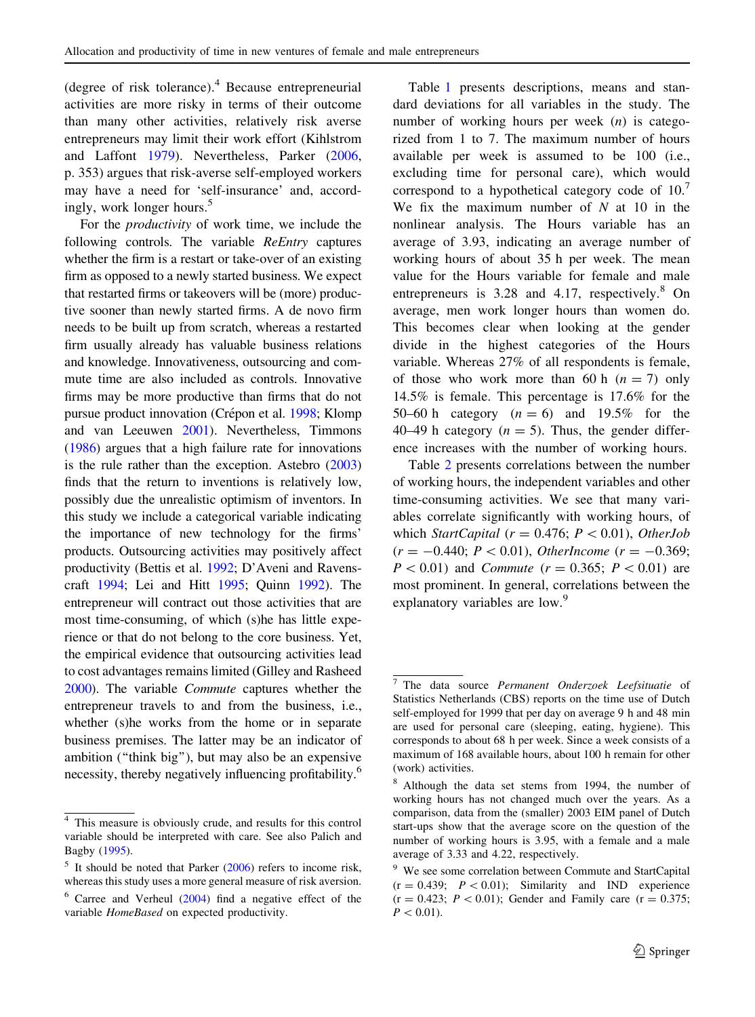(degree of risk tolerance). $4$  Because entrepreneurial activities are more risky in terms of their outcome than many other activities, relatively risk averse entrepreneurs may limit their work effort (Kihlstrom and Laffont [1979\)](#page-17-0). Nevertheless, Parker ([2006,](#page-17-0) p. 353) argues that risk-averse self-employed workers may have a need for 'self-insurance' and, accordingly, work longer hours.<sup>5</sup>

For the productivity of work time, we include the following controls. The variable ReEntry captures whether the firm is a restart or take-over of an existing firm as opposed to a newly started business. We expect that restarted firms or takeovers will be (more) productive sooner than newly started firms. A de novo firm needs to be built up from scratch, whereas a restarted firm usually already has valuable business relations and knowledge. Innovativeness, outsourcing and commute time are also included as controls. Innovative firms may be more productive than firms that do not pursue product innovation (Crépon et al. [1998](#page-16-0); Klomp and van Leeuwen [2001\)](#page-17-0). Nevertheless, Timmons [\(1986\)](#page-17-0) argues that a high failure rate for innovations is the rule rather than the exception. Astebro  $(2003)$ finds that the return to inventions is relatively low, possibly due the unrealistic optimism of inventors. In this study we include a categorical variable indicating the importance of new technology for the firms' products. Outsourcing activities may positively affect productivity (Bettis et al. [1992](#page-15-0); D'Aveni and Ravenscraft [1994;](#page-16-0) Lei and Hitt [1995](#page-17-0); Quinn [1992\)](#page-17-0). The entrepreneur will contract out those activities that are most time-consuming, of which (s)he has little experience or that do not belong to the core business. Yet, the empirical evidence that outsourcing activities lead to cost advantages remains limited (Gilley and Rasheed [2000](#page-16-0)). The variable Commute captures whether the entrepreneur travels to and from the business, i.e., whether (s)he works from the home or in separate business premises. The latter may be an indicator of ambition (''think big''), but may also be an expensive necessity, thereby negatively influencing profitability.<sup>6</sup>

Table [1](#page-7-0) presents descriptions, means and standard deviations for all variables in the study. The number of working hours per week  $(n)$  is categorized from 1 to 7. The maximum number of hours available per week is assumed to be 100 (i.e., excluding time for personal care), which would correspond to a hypothetical category code of 10.<sup>7</sup> We fix the maximum number of  $N$  at 10 in the nonlinear analysis. The Hours variable has an average of 3.93, indicating an average number of working hours of about 35 h per week. The mean value for the Hours variable for female and male entrepreneurs is  $3.28$  and  $4.17$ , respectively.<sup>8</sup> On average, men work longer hours than women do. This becomes clear when looking at the gender divide in the highest categories of the Hours variable. Whereas 27% of all respondents is female, of those who work more than 60 h  $(n = 7)$  only 14.5% is female. This percentage is 17.6% for the 50–60 h category  $(n = 6)$  and 19.5% for the 40–49 h category ( $n = 5$ ). Thus, the gender difference increases with the number of working hours.

Table [2](#page-8-0) presents correlations between the number of working hours, the independent variables and other time-consuming activities. We see that many variables correlate significantly with working hours, of which StartCapital ( $r = 0.476$ ;  $P \lt 0.01$ ), OtherJob  $(r = -0.440; P < 0.01)$ , OtherIncome  $(r = -0.369;$  $P < 0.01$  and *Commute* ( $r = 0.365$ ;  $P < 0.01$ ) are most prominent. In general, correlations between the explanatory variables are low.<sup>9</sup>

 $\frac{4}{4}$  This measure is obviously crude, and results for this control variable should be interpreted with care. See also Palich and Bagby ([1995\)](#page-17-0).

 $<sup>5</sup>$  It should be noted that Parker ([2006\)](#page-17-0) refers to income risk,</sup> whereas this study uses a more general measure of risk aversion.

 $6$  Carree and Verheul ([2004\)](#page-16-0) find a negative effect of the variable HomeBased on expected productivity.

 $7$  The data source Permanent Onderzoek Leefsituatie of Statistics Netherlands (CBS) reports on the time use of Dutch self-employed for 1999 that per day on average 9 h and 48 min are used for personal care (sleeping, eating, hygiene). This corresponds to about 68 h per week. Since a week consists of a maximum of 168 available hours, about 100 h remain for other (work) activities.

<sup>8</sup> Although the data set stems from 1994, the number of working hours has not changed much over the years. As a comparison, data from the (smaller) 2003 EIM panel of Dutch start-ups show that the average score on the question of the number of working hours is 3.95, with a female and a male average of 3.33 and 4.22, respectively.

<sup>9</sup> We see some correlation between Commute and StartCapital  $(r = 0.439; P < 0.01)$ ; Similarity and IND experience  $(r = 0.423; P < 0.01)$ ; Gender and Family care  $(r = 0.375;$  $P < 0.01$ ).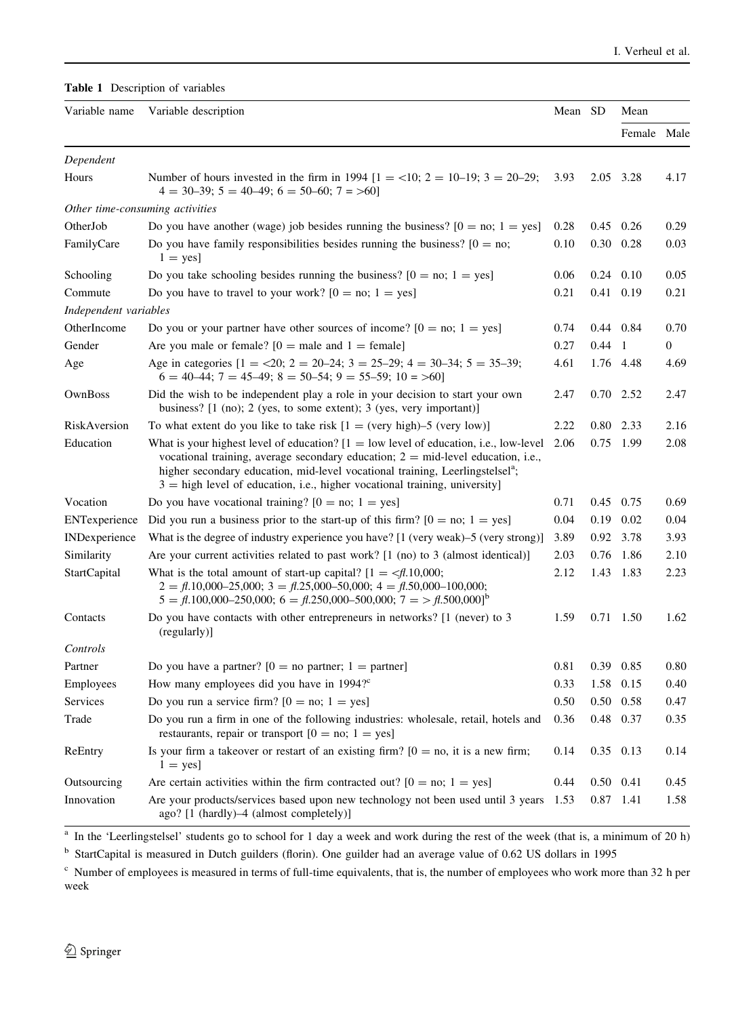<span id="page-7-0"></span>Table 1 Description of variables

| Variable name                   | Variable description                                                                                                                                                                                                                                                                                                                                       | Mean SD |             | Mean              |                |
|---------------------------------|------------------------------------------------------------------------------------------------------------------------------------------------------------------------------------------------------------------------------------------------------------------------------------------------------------------------------------------------------------|---------|-------------|-------------------|----------------|
|                                 |                                                                                                                                                                                                                                                                                                                                                            |         |             | Female Male       |                |
| Dependent                       |                                                                                                                                                                                                                                                                                                                                                            |         |             |                   |                |
| Hours                           | Number of hours invested in the firm in 1994 $[1 = 10; 2 = 10-19; 3 = 20-29;$<br>$4 = 30-39$ ; $5 = 40-49$ ; $6 = 50-60$ ; $7 = >0$                                                                                                                                                                                                                        | 3.93    |             | 2.05 3.28         | 4.17           |
| Other time-consuming activities |                                                                                                                                                                                                                                                                                                                                                            |         |             |                   |                |
| OtherJob                        | Do you have another (wage) job besides running the business? $[0 = no; 1 = yes]$                                                                                                                                                                                                                                                                           | 0.28    |             | 0.45 0.26         | 0.29           |
| FamilyCare                      | Do you have family responsibilities besides running the business? $[0 = no;$<br>$1 = yes$                                                                                                                                                                                                                                                                  | 0.10    |             | $0.30$ 0.28       | 0.03           |
| Schooling                       | Do you take schooling besides running the business? $[0 = no; 1 = yes]$                                                                                                                                                                                                                                                                                    | 0.06    |             | $0.24$ 0.10       | 0.05           |
| Commute                         | Do you have to travel to your work? $[0 = no; 1 = yes]$                                                                                                                                                                                                                                                                                                    | 0.21    |             | 0.41 0.19         | 0.21           |
| Independent variables           |                                                                                                                                                                                                                                                                                                                                                            |         |             |                   |                |
| OtherIncome                     | Do you or your partner have other sources of income? $[0 = no; 1 = yes]$                                                                                                                                                                                                                                                                                   | 0.74    |             | 0.44 0.84         | 0.70           |
| Gender                          | Are you male or female? $[0]$ = male and 1 = female]                                                                                                                                                                                                                                                                                                       | 0.27    | 0.44        | $\mathbf{1}$      | $\overline{0}$ |
| Age                             | Age in categories $[1 = 20; 2 = 20-24; 3 = 25-29; 4 = 30-34; 5 = 35-39;$<br>$6 = 40-44$ ; $7 = 45-49$ ; $8 = 50-54$ ; $9 = 55-59$ ; $10 = 60$ ]                                                                                                                                                                                                            | 4.61    |             | 1.76 4.48         | 4.69           |
| OwnBoss                         | Did the wish to be independent play a role in your decision to start your own<br>business? $[1 \text{ (no)}; 2 \text{ (yes, to some extent)}; 3 \text{ (yes, very important)}]$                                                                                                                                                                            | 2.47    |             | $0.70$ 2.52       | 2.47           |
| RiskAversion                    | To what extent do you like to take risk $[1 = (very high)-5 (very low)]$                                                                                                                                                                                                                                                                                   | 2.22    | $0.80\,$    | 2.33              | 2.16           |
| Education                       | What is your highest level of education? $[1 = low level of education, i.e., low-level$<br>vocational training, average secondary education; $2 = mid-level$ education, i.e.,<br>higher secondary education, mid-level vocational training, Leerlingstelsel <sup>a</sup> ;<br>$3$ = high level of education, i.e., higher vocational training, university] | 2.06    |             | 0.75 1.99         | 2.08           |
| Vocation                        | Do you have vocational training? $[0 = no; 1 = yes]$                                                                                                                                                                                                                                                                                                       | 0.71    |             | $0.45$ 0.75       | 0.69           |
| ENTexperience                   | Did you run a business prior to the start-up of this firm? $[0 = no; 1 = yes]$                                                                                                                                                                                                                                                                             | 0.04    |             | $0.19$ $0.02$     | 0.04           |
| <b>INDexperience</b>            | What is the degree of industry experience you have? $[1$ (very weak)–5 (very strong)]                                                                                                                                                                                                                                                                      | 3.89    | 0.92        | 3.78              | 3.93           |
| Similarity                      | Are your current activities related to past work? $[1 \text{ (no)}$ to 3 (almost identical)]                                                                                                                                                                                                                                                               | 2.03    | 0.76        | 1.86              | 2.10           |
| StartCapital                    | What is the total amount of start-up capital? $[1 = \langle f, 10, 000 \rangle]$<br>$2 = \text{\textsterling}10,000-25,000; 3 = \text{\textsterling}25,000-50,000; 4 = \text{\textsterling}150,000-100,000;$<br>$5 = \text{\textsterling}100,000-250,000;$ $6 = \text{\textsterling}250,000-500,000;$ $7 = \text{\textsterling}1.500,000$ <sup>b</sup>     | 2.12    |             | 1.43 1.83         | 2.23           |
| Contacts                        | Do you have contacts with other entrepreneurs in networks? [1 (never) to 3<br>(regularly)]                                                                                                                                                                                                                                                                 | 1.59    |             | $0.71$ 1.50       | 1.62           |
| Controls                        |                                                                                                                                                                                                                                                                                                                                                            |         |             |                   |                |
| Partner                         | Do you have a partner? $[0 = no$ partner; $1 =$ partner]                                                                                                                                                                                                                                                                                                   | 0.81    |             | 0.39 0.85         | 0.80           |
| Employees                       | How many employees did you have in 1994? <sup>c</sup>                                                                                                                                                                                                                                                                                                      | 0.33    | 1.58        | 0.15              | 0.40           |
| Services                        | Do you run a service firm? $[0 = no; 1 = yes]$                                                                                                                                                                                                                                                                                                             | 0.50    |             | $0.50 \quad 0.58$ | 0.47           |
| Trade                           | Do you run a firm in one of the following industries: wholesale, retail, hotels and 0.36<br>restaurants, repair or transport $[0 = no; 1 = yes]$                                                                                                                                                                                                           |         | 0.48 0.37   |                   | 0.35           |
| ReEntry                         | Is your firm a takeover or restart of an existing firm? $[0 = no$ , it is a new firm;<br>$1 = yes$                                                                                                                                                                                                                                                         | 0.14    | $0.35$ 0.13 |                   | 0.14           |
| Outsourcing                     | Are certain activities within the firm contracted out? $[0 = no; 1 = yes]$                                                                                                                                                                                                                                                                                 | 0.44    |             | $0.50 \quad 0.41$ | 0.45           |
| Innovation                      | Are your products/services based upon new technology not been used until 3 years<br>ago? [1 (hardly)-4 (almost completely)]                                                                                                                                                                                                                                | 1.53    |             | $0.87$ 1.41       | 1.58           |

<sup>a</sup> In the 'Leerlingstelsel' students go to school for 1 day a week and work during the rest of the week (that is, a minimum of 20 h)

<sup>b</sup> StartCapital is measured in Dutch guilders (florin). One guilder had an average value of 0.62 US dollars in 1995

<sup>c</sup> Number of employees is measured in terms of full-time equivalents, that is, the number of employees who work more than 32 h per week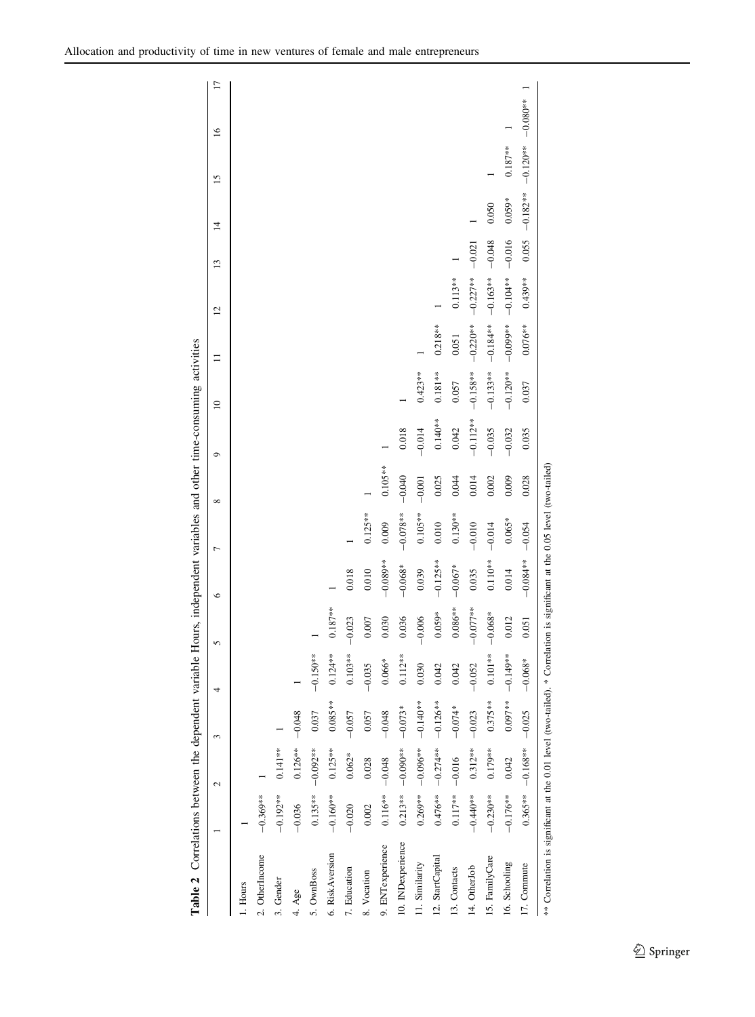<span id="page-8-0"></span>

| Table 2 Correlations between the dependent variable Hours, independent variables and other time-consuming activities |             |                  |            |            |                                                             |            |            |              |            |            |             |                |                             |                |            |             |  |
|----------------------------------------------------------------------------------------------------------------------|-------------|------------------|------------|------------|-------------------------------------------------------------|------------|------------|--------------|------------|------------|-------------|----------------|-----------------------------|----------------|------------|-------------|--|
|                                                                                                                      |             | 2                | 3          |            | 5                                                           | $\circ$    | Γ          | ${}^{\circ}$ | $\circ$    | $\approx$  | $\equiv$    | $\overline{c}$ | $\mathbf{1}^{\mathfrak{D}}$ | $\overline{4}$ | 15         | $\tilde{=}$ |  |
| 1. Hours                                                                                                             |             |                  |            |            |                                                             |            |            |              |            |            |             |                |                             |                |            |             |  |
| 2. OtherIncome                                                                                                       | $-0.369**$  |                  |            |            |                                                             |            |            |              |            |            |             |                |                             |                |            |             |  |
| 3. Gender                                                                                                            | $-0.192**$  | $0.141***$       |            |            |                                                             |            |            |              |            |            |             |                |                             |                |            |             |  |
| 4. Age                                                                                                               | $-0.036$    | $0.126***$       | $-0.048$   |            |                                                             |            |            |              |            |            |             |                |                             |                |            |             |  |
| 5. OwnBoss                                                                                                           | $0.135***$  | $-0.092**$       | 0.037      | $-0.150**$ |                                                             |            |            |              |            |            |             |                |                             |                |            |             |  |
| 6. RiskAversion                                                                                                      | $-0.160**$  | $0.125***$       | $0.085**$  | $0.124**$  | $0.187**$                                                   |            |            |              |            |            |             |                |                             |                |            |             |  |
| 7. Education                                                                                                         | $-0.020$    | $0.062*$         | $-0.057$   | $0.103**$  | $-0.023$                                                    | 0.018      |            |              |            |            |             |                |                             |                |            |             |  |
| 8. Vocation                                                                                                          | 0.002       | 0.028            | 0.057      | $-0.035$   | 0.007                                                       | 0.010      | $0.125**$  |              |            |            |             |                |                             |                |            |             |  |
| 9. ENTexperience                                                                                                     | $0.116***$  | $-0.048$         | $-0.048$   | $0.066*$   | 0.030                                                       | $-0.089**$ | 0.009      | $0.105**$    |            |            |             |                |                             |                |            |             |  |
| 10. INDexperience                                                                                                    | $0.213***$  | $-0.090**$       | $-0.073*$  | $0.112***$ | 0.036                                                       | $-0.068*$  | $-0.078**$ | $-0.040$     | 0.018      |            |             |                |                             |                |            |             |  |
| 11. Similarity                                                                                                       | $0.269**$   | $-0.096**$       | $-0.140**$ | 0.030      | $-0.006$                                                    | 0.039      | $0.105**$  | $-0.001$     | $-0.014$   | $0.423**$  |             |                |                             |                |            |             |  |
| 12. StartCapital                                                                                                     | $0.476***$  | $-0.274**$       | $-0.126**$ | 0.042      | $0.059*$                                                    | $-0.125**$ | 0.010      | 0.025        | $0.140**$  | $0.181***$ | $0.218***$  |                |                             |                |            |             |  |
| 13. Contacts                                                                                                         |             | $0.117***-0.016$ | $-0.074*$  | 0.042      | $0.086**$                                                   | $-0.067*$  | $0.130***$ | 0.044        | 0.042      | 0.057      | 0.051       | $0.113**$      |                             |                |            |             |  |
| 14. OtherJob                                                                                                         | $-0.440**$  | $0.312***$       | $-0.023$   | $-0.052$   | $-0.077**$                                                  | 0.035      | $-0.010$   | 0.014        | $-0.112**$ | $-0.158**$ | $-0.220**$  | $-0.227**$     | $-0.021$                    |                |            |             |  |
| 15. FamilyCare                                                                                                       | $-0.230**$  | $0.179**$        | $0.375***$ | $0.101**$  | $-0.068*$                                                   | $0.110**$  | $-0.014$   | 0.002        | $-0.035$   | $-0.133**$ | $-0.184***$ | $-0.163***$    | $-0.048$                    | 0.050          |            |             |  |
| 16. Schooling                                                                                                        | $-0.176***$ | 0.042            | $0.097**$  | $-0.149**$ | 0.012                                                       | 0.014      | $0.065*$   | 0.009        | $-0.032$   | $-0.120**$ | $-0.099**$  | $-0.104**$     | $-0.016$                    | $0.059*$       | $0.187***$ |             |  |
| 17. Commute                                                                                                          | $0.365***$  | $-0.168**$       | $-0.025$   | $-0.068*$  | 0.051                                                       | $-0.084**$ | $-0.054$   | 0.028        | 0.035      | 0.037      | $0.076***$  | $0.439***$     | 0.055                       | $-0.182**$     | $-0.120**$ | $-0.080**$  |  |
| ** Correlation is significant at the 0.01 level (two-tailed).                                                        |             |                  |            |            | * Correlation is significant at the 0.05 level (two-tailed) |            |            |              |            |            |             |                |                             |                |            |             |  |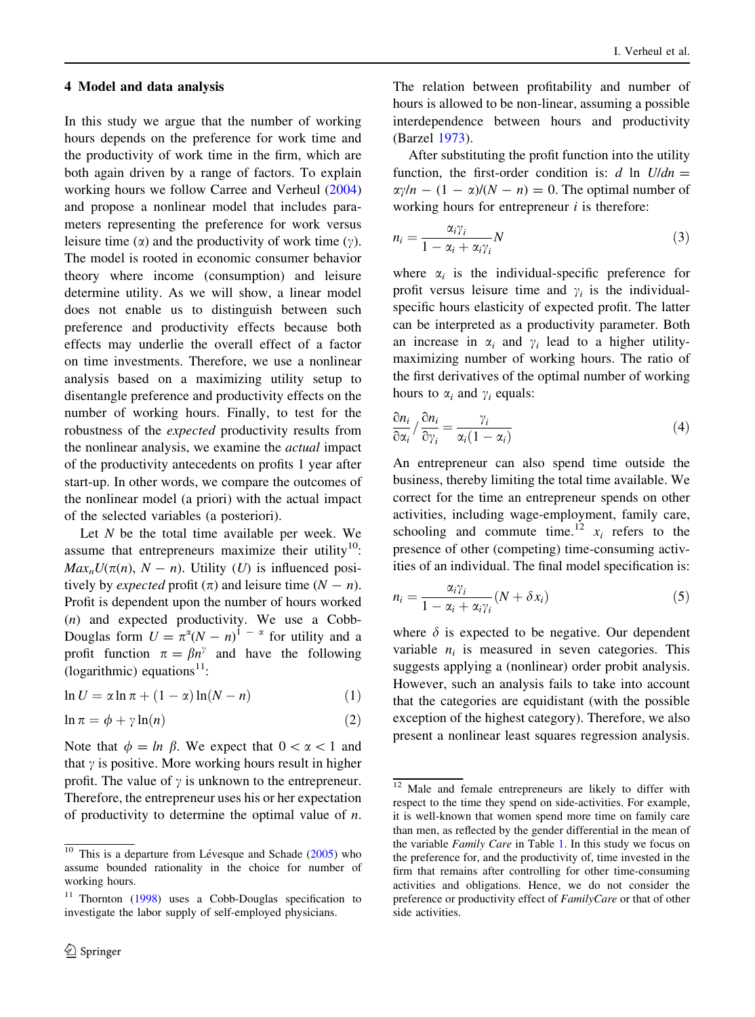#### <span id="page-9-0"></span>4 Model and data analysis

In this study we argue that the number of working hours depends on the preference for work time and the productivity of work time in the firm, which are both again driven by a range of factors. To explain working hours we follow Carree and Verheul ([2004\)](#page-16-0) and propose a nonlinear model that includes parameters representing the preference for work versus leisure time  $(\alpha)$  and the productivity of work time  $(\gamma)$ . The model is rooted in economic consumer behavior theory where income (consumption) and leisure determine utility. As we will show, a linear model does not enable us to distinguish between such preference and productivity effects because both effects may underlie the overall effect of a factor on time investments. Therefore, we use a nonlinear analysis based on a maximizing utility setup to disentangle preference and productivity effects on the number of working hours. Finally, to test for the robustness of the expected productivity results from the nonlinear analysis, we examine the actual impact of the productivity antecedents on profits 1 year after start-up. In other words, we compare the outcomes of the nonlinear model (a priori) with the actual impact of the selected variables (a posteriori).

Let  $N$  be the total time available per week. We assume that entrepreneurs maximize their utility<sup>10</sup>:  $Max_nU(\pi(n), N - n)$ . Utility (U) is influenced positively by *expected* profit  $(\pi)$  and leisure time  $(N - n)$ . Profit is dependent upon the number of hours worked (n) and expected productivity. We use a Cobb-Douglas form  $U = \pi^{\alpha}(N - n)^{1 - \alpha}$  for utility and a profit function  $\pi = \beta n^{\gamma}$  and have the following (logarithmic) equations<sup>11</sup>:

 $\ln U = \alpha \ln \pi + (1 - \alpha) \ln(N - n)$  (1)

$$
\ln \pi = \phi + \gamma \ln(n) \tag{2}
$$

Note that  $\phi = \ln \beta$ . We expect that  $0 < \alpha < 1$  and that  $\gamma$  is positive. More working hours result in higher profit. The value of  $\gamma$  is unknown to the entrepreneur. Therefore, the entrepreneur uses his or her expectation of productivity to determine the optimal value of  $n$ .

The relation between profitability and number of hours is allowed to be non-linear, assuming a possible interdependence between hours and productivity (Barzel [1973](#page-15-0)).

After substituting the profit function into the utility function, the first-order condition is: d ln  $U/dn =$  $\alpha\gamma/n - (1 - \alpha)/(N - n) = 0$ . The optimal number of working hours for entrepreneur  $i$  is therefore:

$$
n_i = \frac{\alpha_i \gamma_i}{1 - \alpha_i + \alpha_i \gamma_i} N \tag{3}
$$

where  $\alpha_i$  is the individual-specific preference for profit versus leisure time and  $\gamma_i$  is the individualspecific hours elasticity of expected profit. The latter can be interpreted as a productivity parameter. Both an increase in  $\alpha_i$  and  $\gamma_i$  lead to a higher utilitymaximizing number of working hours. The ratio of the first derivatives of the optimal number of working hours to  $\alpha_i$  and  $\gamma_i$  equals:

$$
\frac{\partial n_i}{\partial \alpha_i} / \frac{\partial n_i}{\partial \gamma_i} = \frac{\gamma_i}{\alpha_i (1 - \alpha_i)}\tag{4}
$$

An entrepreneur can also spend time outside the business, thereby limiting the total time available. We correct for the time an entrepreneur spends on other activities, including wage-employment, family care, schooling and commute time.<sup>12</sup>  $x_i$  refers to the presence of other (competing) time-consuming activities of an individual. The final model specification is:

$$
n_i = \frac{\alpha_i \gamma_i}{1 - \alpha_i + \alpha_i \gamma_i} (N + \delta x_i)
$$
\n<sup>(5)</sup>

where  $\delta$  is expected to be negative. Our dependent variable  $n_i$  is measured in seven categories. This suggests applying a (nonlinear) order probit analysis. However, such an analysis fails to take into account that the categories are equidistant (with the possible exception of the highest category). Therefore, we also present a nonlinear least squares regression analysis.

 $\frac{10}{10}$  This is a departure from Lévesque and Schade [\(2005](#page-17-0)) who assume bounded rationality in the choice for number of working hours.

 $11$  Thornton [\(1998](#page-17-0)) uses a Cobb-Douglas specification to investigate the labor supply of self-employed physicians.

<sup>&</sup>lt;sup>12</sup> Male and female entrepreneurs are likely to differ with respect to the time they spend on side-activities. For example, it is well-known that women spend more time on family care than men, as reflected by the gender differential in the mean of the variable Family Care in Table [1](#page-7-0). In this study we focus on the preference for, and the productivity of, time invested in the firm that remains after controlling for other time-consuming activities and obligations. Hence, we do not consider the preference or productivity effect of FamilyCare or that of other side activities.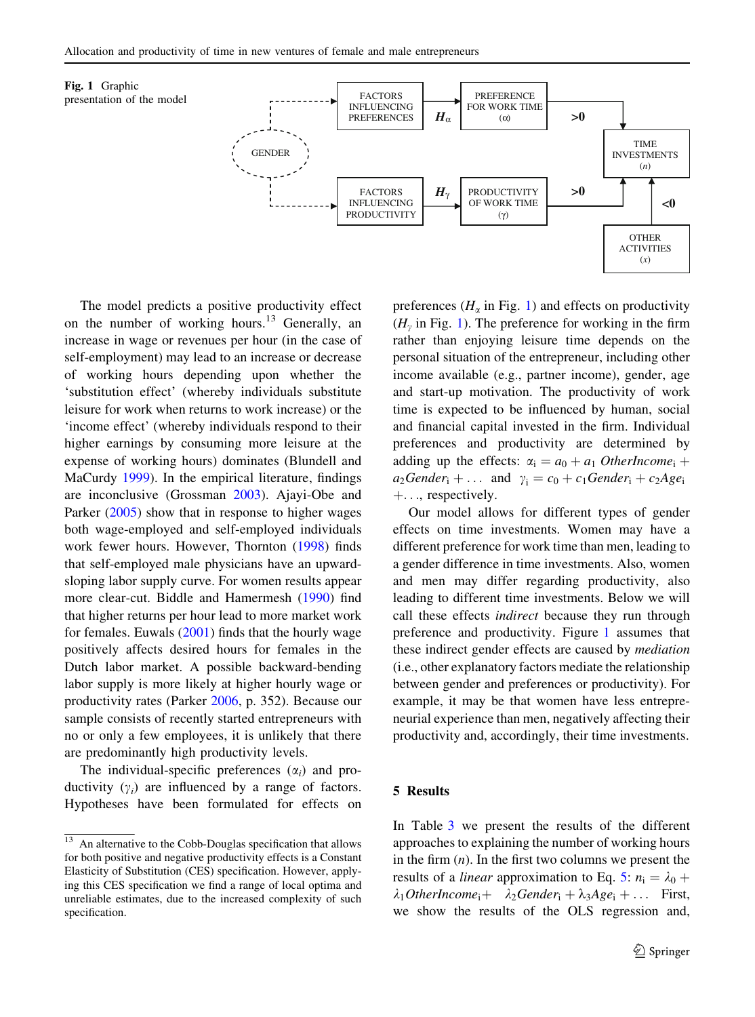

The model predicts a positive productivity effect on the number of working hours.<sup>13</sup> Generally, an increase in wage or revenues per hour (in the case of self-employment) may lead to an increase or decrease of working hours depending upon whether the 'substitution effect' (whereby individuals substitute leisure for work when returns to work increase) or the 'income effect' (whereby individuals respond to their higher earnings by consuming more leisure at the expense of working hours) dominates (Blundell and MaCurdy [1999\)](#page-16-0). In the empirical literature, findings are inconclusive (Grossman [2003](#page-16-0)). Ajayi-Obe and Parker [\(2005](#page-15-0)) show that in response to higher wages both wage-employed and self-employed individuals work fewer hours. However, Thornton [\(1998](#page-17-0)) finds that self-employed male physicians have an upwardsloping labor supply curve. For women results appear more clear-cut. Biddle and Hamermesh [\(1990](#page-15-0)) find that higher returns per hour lead to more market work for females. Euwals [\(2001](#page-16-0)) finds that the hourly wage positively affects desired hours for females in the Dutch labor market. A possible backward-bending labor supply is more likely at higher hourly wage or productivity rates (Parker [2006,](#page-17-0) p. 352). Because our sample consists of recently started entrepreneurs with no or only a few employees, it is unlikely that there are predominantly high productivity levels.

The individual-specific preferences  $(\alpha_i)$  and productivity  $(\gamma_i)$  are influenced by a range of factors. Hypotheses have been formulated for effects on preferences ( $H_{\alpha}$  in Fig. 1) and effects on productivity  $(H<sub>v</sub>$  in Fig. 1). The preference for working in the firm rather than enjoying leisure time depends on the personal situation of the entrepreneur, including other income available (e.g., partner income), gender, age and start-up motivation. The productivity of work time is expected to be influenced by human, social and financial capital invested in the firm. Individual preferences and productivity are determined by adding up the effects:  $\alpha_i = a_0 + a_1$  OtherIncome<sub>i</sub> +  $a_2Gender_i + \dots$  and  $\gamma_i = c_0 + c_1Gender_i + c_2Age_i$  $+...$ , respectively.

Our model allows for different types of gender effects on time investments. Women may have a different preference for work time than men, leading to a gender difference in time investments. Also, women and men may differ regarding productivity, also leading to different time investments. Below we will call these effects indirect because they run through preference and productivity. Figure 1 assumes that these indirect gender effects are caused by mediation (i.e., other explanatory factors mediate the relationship between gender and preferences or productivity). For example, it may be that women have less entrepreneurial experience than men, negatively affecting their productivity and, accordingly, their time investments.

# 5 Results

In Table [3](#page-11-0) we present the results of the different approaches to explaining the number of working hours in the firm  $(n)$ . In the first two columns we present the results of a *linear* approximation to Eq. [5:](#page-9-0)  $n_i = \lambda_0 +$  $\lambda_1$ OtherIncome<sub>i</sub> +  $\lambda_2$ Gender<sub>i</sub> +  $\lambda_3$ Age<sub>i</sub> + ... First, we show the results of the OLS regression and,

 $\frac{13}{13}$  An alternative to the Cobb-Douglas specification that allows for both positive and negative productivity effects is a Constant Elasticity of Substitution (CES) specification. However, applying this CES specification we find a range of local optima and unreliable estimates, due to the increased complexity of such specification.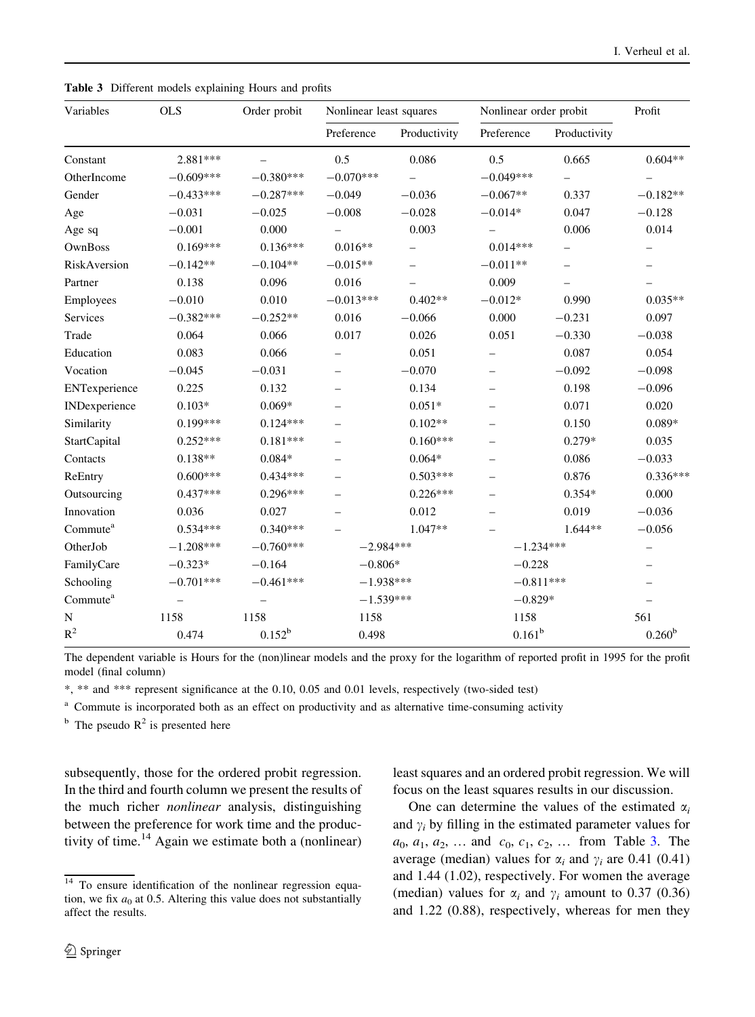<span id="page-11-0"></span>Table 3 Different models explaining Hours and profits

| Variables            | <b>OLS</b>  | Order probit | Nonlinear least squares |              | Nonlinear order probit   |                          | Profit             |
|----------------------|-------------|--------------|-------------------------|--------------|--------------------------|--------------------------|--------------------|
|                      |             |              | Preference              | Productivity | Preference               | Productivity             |                    |
| Constant             | 2.881***    |              | 0.5                     | 0.086        | 0.5                      | 0.665                    | $0.604**$          |
| OtherIncome          | $-0.609***$ | $-0.380***$  | $-0.070***$             |              | $-0.049***$              |                          |                    |
| Gender               | $-0.433***$ | $-0.287***$  | $-0.049$                | $-0.036$     | $-0.067**$               | 0.337                    | $-0.182**$         |
| Age                  | $-0.031$    | $-0.025$     | $-0.008$                | $-0.028$     | $-0.014*$                | 0.047                    | $-0.128$           |
| Age sq               | $-0.001$    | 0.000        |                         | 0.003        |                          | 0.006                    | 0.014              |
| OwnBoss              | $0.169***$  | $0.136***$   | $0.016**$               |              | $0.014***$               |                          |                    |
| RiskAversion         | $-0.142**$  | $-0.104**$   | $-0.015**$              |              | $-0.011**$               | $\overline{\phantom{0}}$ |                    |
| Partner              | 0.138       | 0.096        | 0.016                   |              | 0.009                    |                          |                    |
| Employees            | $-0.010$    | 0.010        | $-0.013***$             | $0.402**$    | $-0.012*$                | 0.990                    | $0.035**$          |
| Services             | $-0.382***$ | $-0.252**$   | 0.016                   | $-0.066$     | 0.000                    | $-0.231$                 | 0.097              |
| Trade                | 0.064       | 0.066        | 0.017                   | 0.026        | 0.051                    | $-0.330$                 | $-0.038$           |
| Education            | 0.083       | 0.066        |                         | 0.051        | $\overline{\phantom{0}}$ | 0.087                    | 0.054              |
| Vocation             | $-0.045$    | $-0.031$     |                         | $-0.070$     | -                        | $-0.092$                 | $-0.098$           |
| ENTexperience        | 0.225       | 0.132        |                         | 0.134        |                          | 0.198                    | $-0.096$           |
| INDexperience        | $0.103*$    | $0.069*$     |                         | $0.051*$     |                          | 0.071                    | 0.020              |
| Similarity           | $0.199***$  | $0.124***$   |                         | $0.102**$    |                          | 0.150                    | $0.089*$           |
| StartCapital         | $0.252***$  | $0.181***$   |                         | $0.160***$   |                          | $0.279*$                 | 0.035              |
| Contacts             | $0.138**$   | $0.084*$     |                         | $0.064*$     |                          | 0.086                    | $-0.033$           |
| ReEntry              | $0.600***$  | $0.434***$   |                         | $0.503***$   |                          | 0.876                    | $0.336***$         |
| Outsourcing          | $0.437***$  | $0.296***$   |                         | $0.226***$   |                          | $0.354*$                 | 0.000              |
| Innovation           | 0.036       | 0.027        |                         | 0.012        |                          | 0.019                    | $-0.036$           |
| Commute <sup>a</sup> | $0.534***$  | $0.340***$   |                         | $1.047**$    |                          | $1.644**$                | $-0.056$           |
| OtherJob             | $-1.208***$ | $-0.760***$  | $-2.984***$             |              | $-1.234***$              |                          |                    |
| FamilyCare           | $-0.323*$   | $-0.164$     | $-0.806*$               |              | $-0.228$                 |                          |                    |
| Schooling            | $-0.701***$ | $-0.461***$  | $-1.938***$             |              | $-0.811***$              |                          |                    |
| Commute <sup>a</sup> |             |              | $-1.539***$             |              | $-0.829*$                |                          |                    |
| N                    | 1158        | 1158         | 1158                    |              | 1158                     |                          | 561                |
| $R^2$                | 0.474       | $0.152^{b}$  | 0.498                   |              | $0.161^{b}$              |                          | 0.260 <sup>b</sup> |

The dependent variable is Hours for the (non)linear models and the proxy for the logarithm of reported profit in 1995 for the profit model (final column)

\*, \*\* and \*\*\* represent significance at the 0.10, 0.05 and 0.01 levels, respectively (two-sided test)

<sup>a</sup> Commute is incorporated both as an effect on productivity and as alternative time-consuming activity

 $<sup>b</sup>$  The pseudo R<sup>2</sup> is presented here</sup>

subsequently, those for the ordered probit regression. In the third and fourth column we present the results of the much richer nonlinear analysis, distinguishing between the preference for work time and the productivity of time.<sup>14</sup> Again we estimate both a (nonlinear) least squares and an ordered probit regression. We will focus on the least squares results in our discussion.

One can determine the values of the estimated  $\alpha_i$ and  $\gamma_i$  by filling in the estimated parameter values for  $a_0, a_1, a_2, \ldots$  and  $c_0, c_1, c_2, \ldots$  from Table 3. The average (median) values for  $\alpha_i$  and  $\gamma_i$  are 0.41 (0.41) and 1.44 (1.02), respectively. For women the average (median) values for  $\alpha_i$  and  $\gamma_i$  amount to 0.37 (0.36) and 1.22 (0.88), respectively, whereas for men they

 $\frac{14}{14}$  To ensure identification of the nonlinear regression equation, we fix  $a_0$  at 0.5. Altering this value does not substantially affect the results.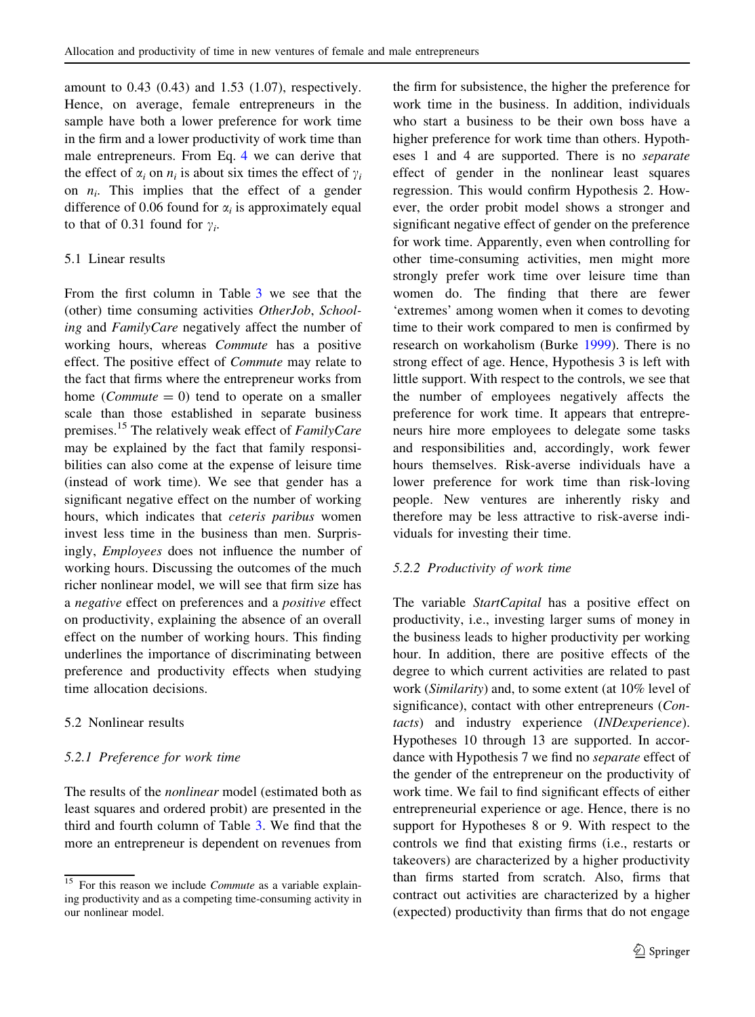amount to 0.43 (0.43) and 1.53 (1.07), respectively. Hence, on average, female entrepreneurs in the sample have both a lower preference for work time in the firm and a lower productivity of work time than male entrepreneurs. From Eq. [4](#page-9-0) we can derive that the effect of  $\alpha_i$  on  $n_i$  is about six times the effect of  $\gamma_i$ on  $n_i$ . This implies that the effect of a gender difference of 0.06 found for  $\alpha_i$  is approximately equal to that of 0.31 found for  $\gamma_i$ .

# 5.1 Linear results

From the first column in Table [3](#page-11-0) we see that the (other) time consuming activities OtherJob, Schooling and FamilyCare negatively affect the number of working hours, whereas Commute has a positive effect. The positive effect of Commute may relate to the fact that firms where the entrepreneur works from home (*Commute*  $= 0$ ) tend to operate on a smaller scale than those established in separate business premises.<sup>15</sup> The relatively weak effect of  $FamilyCare$ may be explained by the fact that family responsibilities can also come at the expense of leisure time (instead of work time). We see that gender has a significant negative effect on the number of working hours, which indicates that ceteris paribus women invest less time in the business than men. Surprisingly, Employees does not influence the number of working hours. Discussing the outcomes of the much richer nonlinear model, we will see that firm size has a *negative* effect on preferences and a *positive* effect on productivity, explaining the absence of an overall effect on the number of working hours. This finding underlines the importance of discriminating between preference and productivity effects when studying time allocation decisions.

# 5.2 Nonlinear results

# 5.2.1 Preference for work time

The results of the nonlinear model (estimated both as least squares and ordered probit) are presented in the third and fourth column of Table [3](#page-11-0). We find that the more an entrepreneur is dependent on revenues from the firm for subsistence, the higher the preference for work time in the business. In addition, individuals who start a business to be their own boss have a higher preference for work time than others. Hypotheses 1 and 4 are supported. There is no separate effect of gender in the nonlinear least squares regression. This would confirm Hypothesis 2. However, the order probit model shows a stronger and significant negative effect of gender on the preference for work time. Apparently, even when controlling for other time-consuming activities, men might more strongly prefer work time over leisure time than women do. The finding that there are fewer 'extremes' among women when it comes to devoting time to their work compared to men is confirmed by research on workaholism (Burke [1999](#page-16-0)). There is no strong effect of age. Hence, Hypothesis 3 is left with little support. With respect to the controls, we see that the number of employees negatively affects the preference for work time. It appears that entrepreneurs hire more employees to delegate some tasks and responsibilities and, accordingly, work fewer hours themselves. Risk-averse individuals have a lower preference for work time than risk-loving people. New ventures are inherently risky and therefore may be less attractive to risk-averse individuals for investing their time.

#### 5.2.2 Productivity of work time

The variable *StartCapital* has a positive effect on productivity, i.e., investing larger sums of money in the business leads to higher productivity per working hour. In addition, there are positive effects of the degree to which current activities are related to past work (Similarity) and, to some extent (at 10% level of significance), contact with other entrepreneurs (*Con*tacts) and industry experience (INDexperience). Hypotheses 10 through 13 are supported. In accordance with Hypothesis 7 we find no separate effect of the gender of the entrepreneur on the productivity of work time. We fail to find significant effects of either entrepreneurial experience or age. Hence, there is no support for Hypotheses 8 or 9. With respect to the controls we find that existing firms (i.e., restarts or takeovers) are characterized by a higher productivity than firms started from scratch. Also, firms that contract out activities are characterized by a higher (expected) productivity than firms that do not engage

 $\frac{15}{15}$  For this reason we include *Commute* as a variable explaining productivity and as a competing time-consuming activity in our nonlinear model.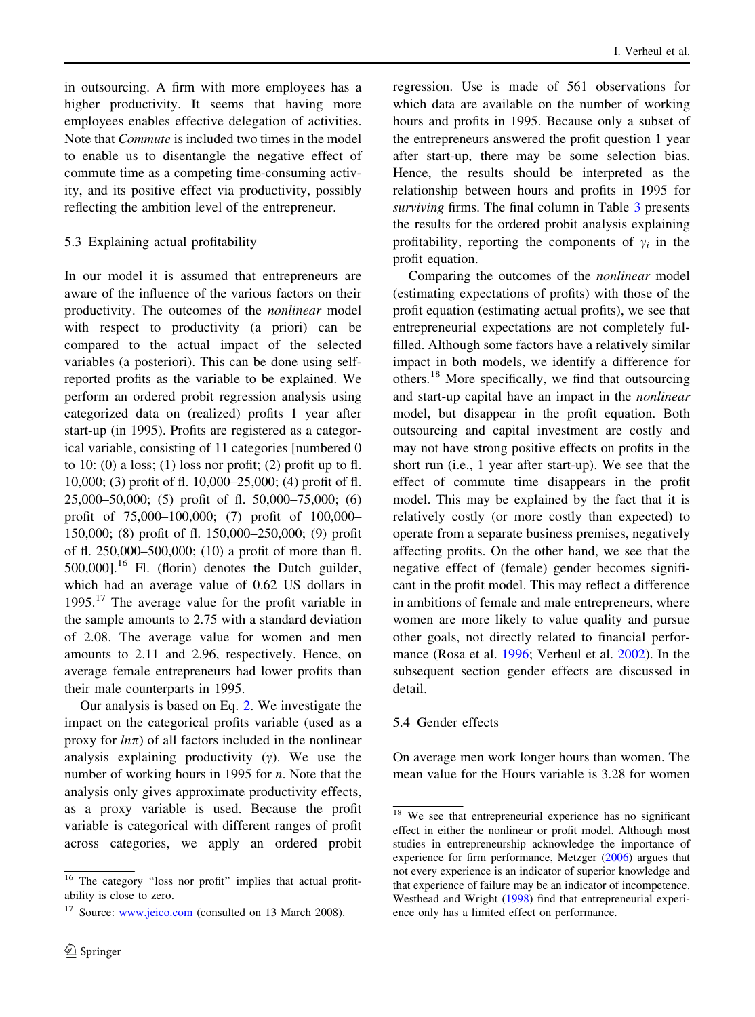in outsourcing. A firm with more employees has a higher productivity. It seems that having more employees enables effective delegation of activities. Note that Commute is included two times in the model to enable us to disentangle the negative effect of commute time as a competing time-consuming activity, and its positive effect via productivity, possibly reflecting the ambition level of the entrepreneur.

# 5.3 Explaining actual profitability

In our model it is assumed that entrepreneurs are aware of the influence of the various factors on their productivity. The outcomes of the nonlinear model with respect to productivity (a priori) can be compared to the actual impact of the selected variables (a posteriori). This can be done using selfreported profits as the variable to be explained. We perform an ordered probit regression analysis using categorized data on (realized) profits 1 year after start-up (in 1995). Profits are registered as a categorical variable, consisting of 11 categories [numbered 0 to 10: (0) a loss; (1) loss nor profit; (2) profit up to fl. 10,000; (3) profit of fl. 10,000–25,000; (4) profit of fl. 25,000–50,000; (5) profit of fl. 50,000–75,000; (6) profit of 75,000–100,000; (7) profit of 100,000– 150,000; (8) profit of fl. 150,000–250,000; (9) profit of fl. 250,000–500,000; (10) a profit of more than fl.  $500,000$ <sup>16</sup> Fl. (florin) denotes the Dutch guilder, which had an average value of 0.62 US dollars in  $1995<sup>17</sup>$  The average value for the profit variable in the sample amounts to 2.75 with a standard deviation of 2.08. The average value for women and men amounts to 2.11 and 2.96, respectively. Hence, on average female entrepreneurs had lower profits than their male counterparts in 1995.

Our analysis is based on Eq. [2](#page-9-0). We investigate the impact on the categorical profits variable (used as a proxy for  $ln \pi$ ) of all factors included in the nonlinear analysis explaining productivity  $(y)$ . We use the number of working hours in 1995 for n. Note that the analysis only gives approximate productivity effects, as a proxy variable is used. Because the profit variable is categorical with different ranges of profit across categories, we apply an ordered probit regression. Use is made of 561 observations for which data are available on the number of working hours and profits in 1995. Because only a subset of the entrepreneurs answered the profit question 1 year after start-up, there may be some selection bias. Hence, the results should be interpreted as the relationship between hours and profits in 1995 for surviving firms. The final column in Table [3](#page-11-0) presents the results for the ordered probit analysis explaining profitability, reporting the components of  $\gamma_i$  in the profit equation.

Comparing the outcomes of the nonlinear model (estimating expectations of profits) with those of the profit equation (estimating actual profits), we see that entrepreneurial expectations are not completely fulfilled. Although some factors have a relatively similar impact in both models, we identify a difference for others.<sup>18</sup> More specifically, we find that outsourcing and start-up capital have an impact in the nonlinear model, but disappear in the profit equation. Both outsourcing and capital investment are costly and may not have strong positive effects on profits in the short run (i.e., 1 year after start-up). We see that the effect of commute time disappears in the profit model. This may be explained by the fact that it is relatively costly (or more costly than expected) to operate from a separate business premises, negatively affecting profits. On the other hand, we see that the negative effect of (female) gender becomes significant in the profit model. This may reflect a difference in ambitions of female and male entrepreneurs, where women are more likely to value quality and pursue other goals, not directly related to financial performance (Rosa et al. [1996;](#page-17-0) Verheul et al. [2002\)](#page-18-0). In the subsequent section gender effects are discussed in detail.

# 5.4 Gender effects

On average men work longer hours than women. The mean value for the Hours variable is 3.28 for women

<sup>&</sup>lt;sup>16</sup> The category "loss nor profit" implies that actual profitability is close to zero.

<sup>&</sup>lt;sup>17</sup> Source: [www.jeico.com](http://www.jeico.com) (consulted on 13 March 2008).

<sup>&</sup>lt;sup>18</sup> We see that entrepreneurial experience has no significant effect in either the nonlinear or profit model. Although most studies in entrepreneurship acknowledge the importance of experience for firm performance, Metzger ([2006\)](#page-17-0) argues that not every experience is an indicator of superior knowledge and that experience of failure may be an indicator of incompetence. Westhead and Wright ([1998\)](#page-18-0) find that entrepreneurial experience only has a limited effect on performance.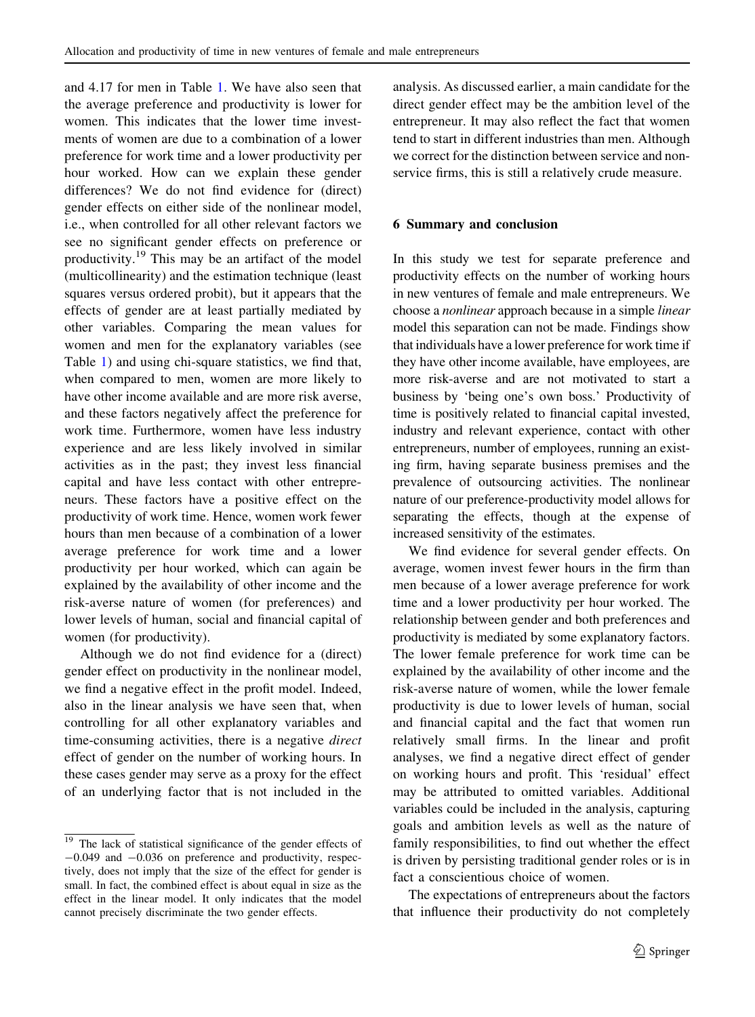and 4.17 for men in Table [1](#page-7-0). We have also seen that the average preference and productivity is lower for women. This indicates that the lower time investments of women are due to a combination of a lower preference for work time and a lower productivity per hour worked. How can we explain these gender differences? We do not find evidence for (direct) gender effects on either side of the nonlinear model, i.e., when controlled for all other relevant factors we see no significant gender effects on preference or productivity.<sup>19</sup> This may be an artifact of the model (multicollinearity) and the estimation technique (least squares versus ordered probit), but it appears that the effects of gender are at least partially mediated by other variables. Comparing the mean values for women and men for the explanatory variables (see Table [1\)](#page-7-0) and using chi-square statistics, we find that, when compared to men, women are more likely to have other income available and are more risk averse, and these factors negatively affect the preference for work time. Furthermore, women have less industry experience and are less likely involved in similar activities as in the past; they invest less financial capital and have less contact with other entrepreneurs. These factors have a positive effect on the productivity of work time. Hence, women work fewer hours than men because of a combination of a lower average preference for work time and a lower productivity per hour worked, which can again be explained by the availability of other income and the risk-averse nature of women (for preferences) and lower levels of human, social and financial capital of women (for productivity).

Although we do not find evidence for a (direct) gender effect on productivity in the nonlinear model, we find a negative effect in the profit model. Indeed, also in the linear analysis we have seen that, when controlling for all other explanatory variables and time-consuming activities, there is a negative *direct* effect of gender on the number of working hours. In these cases gender may serve as a proxy for the effect of an underlying factor that is not included in the

analysis. As discussed earlier, a main candidate for the direct gender effect may be the ambition level of the entrepreneur. It may also reflect the fact that women tend to start in different industries than men. Although we correct for the distinction between service and nonservice firms, this is still a relatively crude measure.

#### 6 Summary and conclusion

In this study we test for separate preference and productivity effects on the number of working hours in new ventures of female and male entrepreneurs. We choose a nonlinear approach because in a simple linear model this separation can not be made. Findings show that individuals have a lower preference for work time if they have other income available, have employees, are more risk-averse and are not motivated to start a business by 'being one's own boss.' Productivity of time is positively related to financial capital invested, industry and relevant experience, contact with other entrepreneurs, number of employees, running an existing firm, having separate business premises and the prevalence of outsourcing activities. The nonlinear nature of our preference-productivity model allows for separating the effects, though at the expense of increased sensitivity of the estimates.

We find evidence for several gender effects. On average, women invest fewer hours in the firm than men because of a lower average preference for work time and a lower productivity per hour worked. The relationship between gender and both preferences and productivity is mediated by some explanatory factors. The lower female preference for work time can be explained by the availability of other income and the risk-averse nature of women, while the lower female productivity is due to lower levels of human, social and financial capital and the fact that women run relatively small firms. In the linear and profit analyses, we find a negative direct effect of gender on working hours and profit. This 'residual' effect may be attributed to omitted variables. Additional variables could be included in the analysis, capturing goals and ambition levels as well as the nature of family responsibilities, to find out whether the effect is driven by persisting traditional gender roles or is in fact a conscientious choice of women.

The expectations of entrepreneurs about the factors that influence their productivity do not completely

<sup>&</sup>lt;sup>19</sup> The lack of statistical significance of the gender effects of  $-0.049$  and  $-0.036$  on preference and productivity, respectively, does not imply that the size of the effect for gender is small. In fact, the combined effect is about equal in size as the effect in the linear model. It only indicates that the model cannot precisely discriminate the two gender effects.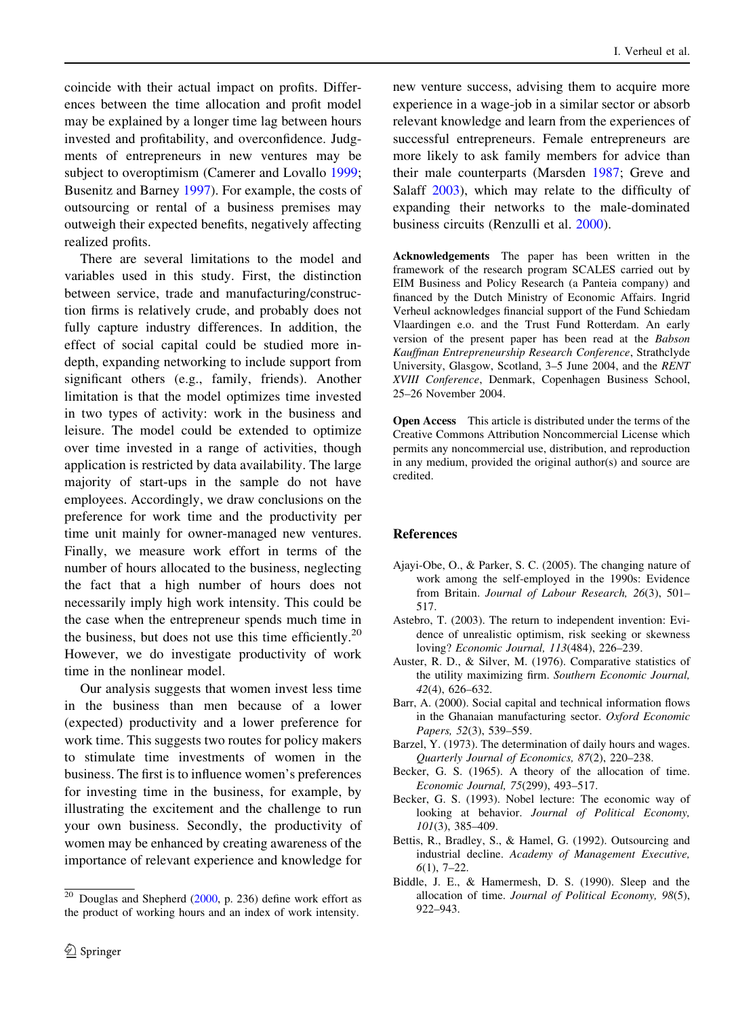<span id="page-15-0"></span>coincide with their actual impact on profits. Differences between the time allocation and profit model may be explained by a longer time lag between hours invested and profitability, and overconfidence. Judgments of entrepreneurs in new ventures may be subject to overoptimism (Camerer and Lovallo [1999](#page-16-0); Busenitz and Barney [1997\)](#page-16-0). For example, the costs of outsourcing or rental of a business premises may outweigh their expected benefits, negatively affecting realized profits.

There are several limitations to the model and variables used in this study. First, the distinction between service, trade and manufacturing/construction firms is relatively crude, and probably does not fully capture industry differences. In addition, the effect of social capital could be studied more indepth, expanding networking to include support from significant others (e.g., family, friends). Another limitation is that the model optimizes time invested in two types of activity: work in the business and leisure. The model could be extended to optimize over time invested in a range of activities, though application is restricted by data availability. The large majority of start-ups in the sample do not have employees. Accordingly, we draw conclusions on the preference for work time and the productivity per time unit mainly for owner-managed new ventures. Finally, we measure work effort in terms of the number of hours allocated to the business, neglecting the fact that a high number of hours does not necessarily imply high work intensity. This could be the case when the entrepreneur spends much time in the business, but does not use this time efficiently.<sup>20</sup> However, we do investigate productivity of work time in the nonlinear model.

Our analysis suggests that women invest less time in the business than men because of a lower (expected) productivity and a lower preference for work time. This suggests two routes for policy makers to stimulate time investments of women in the business. The first is to influence women's preferences for investing time in the business, for example, by illustrating the excitement and the challenge to run your own business. Secondly, the productivity of women may be enhanced by creating awareness of the importance of relevant experience and knowledge for

new venture success, advising them to acquire more experience in a wage-job in a similar sector or absorb relevant knowledge and learn from the experiences of successful entrepreneurs. Female entrepreneurs are more likely to ask family members for advice than their male counterparts (Marsden [1987](#page-17-0); Greve and Salaff [2003](#page-16-0)), which may relate to the difficulty of expanding their networks to the male-dominated business circuits (Renzulli et al. [2000](#page-17-0)).

Acknowledgements The paper has been written in the framework of the research program SCALES carried out by EIM Business and Policy Research (a Panteia company) and financed by the Dutch Ministry of Economic Affairs. Ingrid Verheul acknowledges financial support of the Fund Schiedam Vlaardingen e.o. and the Trust Fund Rotterdam. An early version of the present paper has been read at the Babson Kauffman Entrepreneurship Research Conference, Strathclyde University, Glasgow, Scotland, 3–5 June 2004, and the RENT XVIII Conference, Denmark, Copenhagen Business School, 25–26 November 2004.

Open Access This article is distributed under the terms of the Creative Commons Attribution Noncommercial License which permits any noncommercial use, distribution, and reproduction in any medium, provided the original author(s) and source are credited.

# References

- Ajayi-Obe, O., & Parker, S. C. (2005). The changing nature of work among the self-employed in the 1990s: Evidence from Britain. Journal of Labour Research, 26(3), 501– 517.
- Astebro, T. (2003). The return to independent invention: Evidence of unrealistic optimism, risk seeking or skewness loving? Economic Journal, 113(484), 226–239.
- Auster, R. D., & Silver, M. (1976). Comparative statistics of the utility maximizing firm. Southern Economic Journal, 42(4), 626–632.
- Barr, A. (2000). Social capital and technical information flows in the Ghanaian manufacturing sector. Oxford Economic Papers, 52(3), 539–559.
- Barzel, Y. (1973). The determination of daily hours and wages. Quarterly Journal of Economics, 87(2), 220–238.
- Becker, G. S. (1965). A theory of the allocation of time. Economic Journal, 75(299), 493–517.
- Becker, G. S. (1993). Nobel lecture: The economic way of looking at behavior. Journal of Political Economy, 101(3), 385–409.
- Bettis, R., Bradley, S., & Hamel, G. (1992). Outsourcing and industrial decline. Academy of Management Executive,  $6(1)$ , 7–22.
- Biddle, J. E., & Hamermesh, D. S. (1990). Sleep and the allocation of time. Journal of Political Economy, 98(5), 922–943.

<sup>20</sup> Douglas and Shepherd ([2000,](#page-16-0) p. 236) define work effort as the product of working hours and an index of work intensity.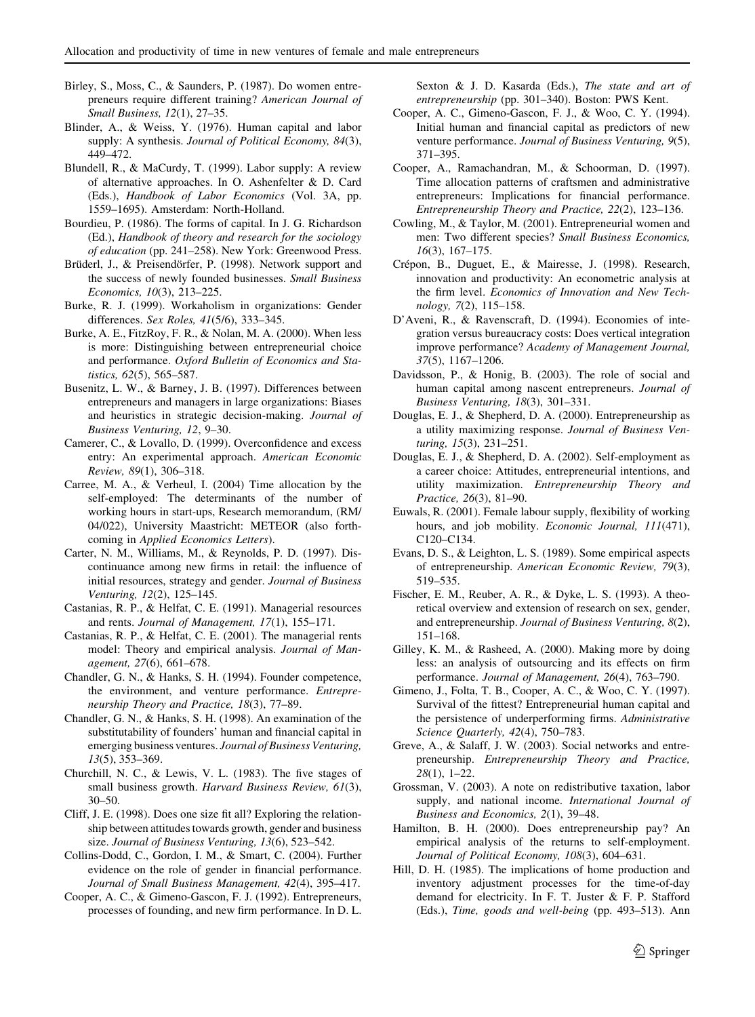- <span id="page-16-0"></span>Birley, S., Moss, C., & Saunders, P. (1987). Do women entrepreneurs require different training? American Journal of Small Business, 12(1), 27–35.
- Blinder, A., & Weiss, Y. (1976). Human capital and labor supply: A synthesis. Journal of Political Economy, 84(3), 449–472.
- Blundell, R., & MaCurdy, T. (1999). Labor supply: A review of alternative approaches. In O. Ashenfelter & D. Card (Eds.), Handbook of Labor Economics (Vol. 3A, pp. 1559–1695). Amsterdam: North-Holland.
- Bourdieu, P. (1986). The forms of capital. In J. G. Richardson (Ed.), Handbook of theory and research for the sociology of education (pp. 241–258). New York: Greenwood Press.
- Brüderl, J., & Preisendörfer, P. (1998). Network support and the success of newly founded businesses. Small Business Economics, 10(3), 213–225.
- Burke, R. J. (1999). Workaholism in organizations: Gender differences. Sex Roles, 41(5/6), 333–345.
- Burke, A. E., FitzRoy, F. R., & Nolan, M. A. (2000). When less is more: Distinguishing between entrepreneurial choice and performance. Oxford Bulletin of Economics and Statistics, 62(5), 565–587.
- Busenitz, L. W., & Barney, J. B. (1997). Differences between entrepreneurs and managers in large organizations: Biases and heuristics in strategic decision-making. Journal of Business Venturing, 12, 9–30.
- Camerer, C., & Lovallo, D. (1999). Overconfidence and excess entry: An experimental approach. American Economic Review, 89(1), 306–318.
- Carree, M. A., & Verheul, I. (2004) Time allocation by the self-employed: The determinants of the number of working hours in start-ups, Research memorandum, (RM/ 04/022), University Maastricht: METEOR (also forthcoming in Applied Economics Letters).
- Carter, N. M., Williams, M., & Reynolds, P. D. (1997). Discontinuance among new firms in retail: the influence of initial resources, strategy and gender. Journal of Business Venturing, 12(2), 125–145.
- Castanias, R. P., & Helfat, C. E. (1991). Managerial resources and rents. Journal of Management, 17(1), 155–171.
- Castanias, R. P., & Helfat, C. E. (2001). The managerial rents model: Theory and empirical analysis. Journal of Management, 27(6), 661–678.
- Chandler, G. N., & Hanks, S. H. (1994). Founder competence, the environment, and venture performance. Entrepreneurship Theory and Practice, 18(3), 77–89.
- Chandler, G. N., & Hanks, S. H. (1998). An examination of the substitutability of founders' human and financial capital in emerging business ventures. Journal of Business Venturing, 13(5), 353–369.
- Churchill, N. C., & Lewis, V. L. (1983). The five stages of small business growth. Harvard Business Review, 61(3), 30–50.
- Cliff, J. E. (1998). Does one size fit all? Exploring the relationship between attitudes towards growth, gender and business size. Journal of Business Venturing, 13(6), 523–542.
- Collins-Dodd, C., Gordon, I. M., & Smart, C. (2004). Further evidence on the role of gender in financial performance. Journal of Small Business Management, 42(4), 395–417.
- Cooper, A. C., & Gimeno-Gascon, F. J. (1992). Entrepreneurs, processes of founding, and new firm performance. In D. L.

Sexton & J. D. Kasarda (Eds.), The state and art of entrepreneurship (pp. 301–340). Boston: PWS Kent.

- Cooper, A. C., Gimeno-Gascon, F. J., & Woo, C. Y. (1994). Initial human and financial capital as predictors of new venture performance. Journal of Business Venturing, 9(5), 371–395.
- Cooper, A., Ramachandran, M., & Schoorman, D. (1997). Time allocation patterns of craftsmen and administrative entrepreneurs: Implications for financial performance. Entrepreneurship Theory and Practice, 22(2), 123–136.
- Cowling, M., & Taylor, M. (2001). Entrepreneurial women and men: Two different species? Small Business Economics, 16(3), 167–175.
- Crépon, B., Duguet, E., & Mairesse, J. (1998). Research, innovation and productivity: An econometric analysis at the firm level. Economics of Innovation and New Technology, 7(2), 115–158.
- D'Aveni, R., & Ravenscraft, D. (1994). Economies of integration versus bureaucracy costs: Does vertical integration improve performance? Academy of Management Journal, 37(5), 1167–1206.
- Davidsson, P., & Honig, B. (2003). The role of social and human capital among nascent entrepreneurs. Journal of Business Venturing, 18(3), 301–331.
- Douglas, E. J., & Shepherd, D. A. (2000). Entrepreneurship as a utility maximizing response. Journal of Business Venturing, 15(3), 231–251.
- Douglas, E. J., & Shepherd, D. A. (2002). Self-employment as a career choice: Attitudes, entrepreneurial intentions, and utility maximization. Entrepreneurship Theory and Practice, 26(3), 81–90.
- Euwals, R. (2001). Female labour supply, flexibility of working hours, and job mobility. Economic Journal, 111(471), C120–C134.
- Evans, D. S., & Leighton, L. S. (1989). Some empirical aspects of entrepreneurship. American Economic Review, 79(3), 519–535.
- Fischer, E. M., Reuber, A. R., & Dyke, L. S. (1993). A theoretical overview and extension of research on sex, gender, and entrepreneurship. Journal of Business Venturing, 8(2), 151–168.
- Gilley, K. M., & Rasheed, A. (2000). Making more by doing less: an analysis of outsourcing and its effects on firm performance. Journal of Management, 26(4), 763–790.
- Gimeno, J., Folta, T. B., Cooper, A. C., & Woo, C. Y. (1997). Survival of the fittest? Entrepreneurial human capital and the persistence of underperforming firms. Administrative Science Quarterly, 42(4), 750–783.
- Greve, A., & Salaff, J. W. (2003). Social networks and entrepreneurship. Entrepreneurship Theory and Practice, 28(1), 1–22.
- Grossman, V. (2003). A note on redistributive taxation, labor supply, and national income. International Journal of Business and Economics, 2(1), 39–48.
- Hamilton, B. H. (2000). Does entrepreneurship pay? An empirical analysis of the returns to self-employment. Journal of Political Economy, 108(3), 604–631.
- Hill, D. H. (1985). The implications of home production and inventory adjustment processes for the time-of-day demand for electricity. In F. T. Juster & F. P. Stafford (Eds.), Time, goods and well-being (pp. 493–513). Ann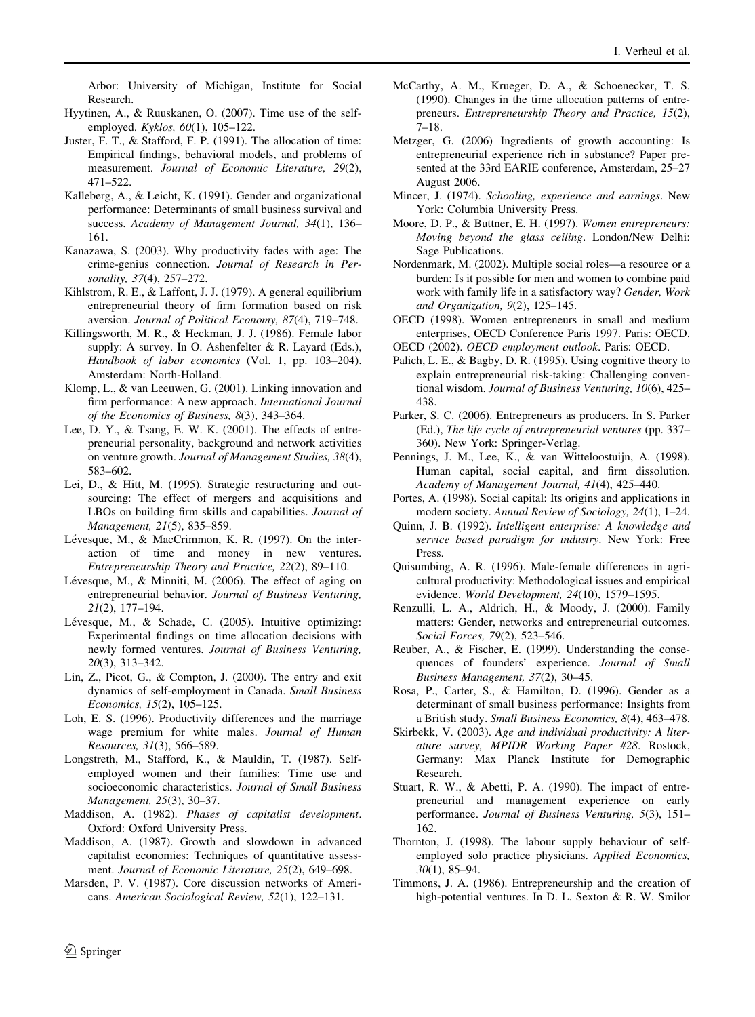<span id="page-17-0"></span>Arbor: University of Michigan, Institute for Social Research.

- Hyytinen, A., & Ruuskanen, O. (2007). Time use of the selfemployed. *Kyklos*, 60(1), 105–122.
- Juster, F. T., & Stafford, F. P. (1991). The allocation of time: Empirical findings, behavioral models, and problems of measurement. Journal of Economic Literature, 29(2), 471–522.
- Kalleberg, A., & Leicht, K. (1991). Gender and organizational performance: Determinants of small business survival and success. Academy of Management Journal, 34(1), 136– 161.
- Kanazawa, S. (2003). Why productivity fades with age: The crime-genius connection. Journal of Research in Personality, 37(4), 257–272.
- Kihlstrom, R. E., & Laffont, J. J. (1979). A general equilibrium entrepreneurial theory of firm formation based on risk aversion. Journal of Political Economy, 87(4), 719–748.
- Killingsworth, M. R., & Heckman, J. J. (1986). Female labor supply: A survey. In O. Ashenfelter & R. Layard (Eds.), Handbook of labor economics (Vol. 1, pp. 103–204). Amsterdam: North-Holland.
- Klomp, L., & van Leeuwen, G. (2001). Linking innovation and firm performance: A new approach. International Journal of the Economics of Business, 8(3), 343–364.
- Lee, D. Y., & Tsang, E. W. K. (2001). The effects of entrepreneurial personality, background and network activities on venture growth. Journal of Management Studies, 38(4), 583–602.
- Lei, D., & Hitt, M. (1995). Strategic restructuring and outsourcing: The effect of mergers and acquisitions and LBOs on building firm skills and capabilities. Journal of Management, 21(5), 835–859.
- Lévesque, M., & MacCrimmon, K. R. (1997). On the interaction of time and money in new ventures. Entrepreneurship Theory and Practice, 22(2), 89–110.
- Lévesque, M., & Minniti, M. (2006). The effect of aging on entrepreneurial behavior. Journal of Business Venturing, 21(2), 177–194.
- Lévesque, M., & Schade, C. (2005). Intuitive optimizing: Experimental findings on time allocation decisions with newly formed ventures. Journal of Business Venturing, 20(3), 313–342.
- Lin, Z., Picot, G., & Compton, J. (2000). The entry and exit dynamics of self-employment in Canada. Small Business Economics, 15(2), 105–125.
- Loh, E. S. (1996). Productivity differences and the marriage wage premium for white males. Journal of Human Resources, 31(3), 566–589.
- Longstreth, M., Stafford, K., & Mauldin, T. (1987). Selfemployed women and their families: Time use and socioeconomic characteristics. Journal of Small Business Management, 25(3), 30–37.
- Maddison, A. (1982). Phases of capitalist development. Oxford: Oxford University Press.
- Maddison, A. (1987). Growth and slowdown in advanced capitalist economies: Techniques of quantitative assessment. Journal of Economic Literature, 25(2), 649–698.
- Marsden, P. V. (1987). Core discussion networks of Americans. American Sociological Review, 52(1), 122–131.
- McCarthy, A. M., Krueger, D. A., & Schoenecker, T. S. (1990). Changes in the time allocation patterns of entrepreneurs. Entrepreneurship Theory and Practice, 15(2), 7–18.
- Metzger, G. (2006) Ingredients of growth accounting: Is entrepreneurial experience rich in substance? Paper presented at the 33rd EARIE conference, Amsterdam, 25–27 August 2006.
- Mincer, J. (1974). Schooling, experience and earnings. New York: Columbia University Press.
- Moore, D. P., & Buttner, E. H. (1997). Women entrepreneurs: Moving beyond the glass ceiling. London/New Delhi: Sage Publications.
- Nordenmark, M. (2002). Multiple social roles—a resource or a burden: Is it possible for men and women to combine paid work with family life in a satisfactory way? Gender, Work and Organization, 9(2), 125–145.
- OECD (1998). Women entrepreneurs in small and medium enterprises, OECD Conference Paris 1997. Paris: OECD. OECD (2002). OECD employment outlook. Paris: OECD.
- 
- Palich, L. E., & Bagby, D. R. (1995). Using cognitive theory to explain entrepreneurial risk-taking: Challenging conventional wisdom. Journal of Business Venturing, 10(6), 425– 438.
- Parker, S. C. (2006). Entrepreneurs as producers. In S. Parker (Ed.), The life cycle of entrepreneurial ventures (pp. 337– 360). New York: Springer-Verlag.
- Pennings, J. M., Lee, K., & van Witteloostuijn, A. (1998). Human capital, social capital, and firm dissolution. Academy of Management Journal, 41(4), 425–440.
- Portes, A. (1998). Social capital: Its origins and applications in modern society. Annual Review of Sociology, 24(1), 1–24.
- Quinn, J. B. (1992). Intelligent enterprise: A knowledge and service based paradigm for industry. New York: Free Press.
- Quisumbing, A. R. (1996). Male-female differences in agricultural productivity: Methodological issues and empirical evidence. World Development, 24(10), 1579–1595.
- Renzulli, L. A., Aldrich, H., & Moody, J. (2000). Family matters: Gender, networks and entrepreneurial outcomes. Social Forces, 79(2), 523–546.
- Reuber, A., & Fischer, E. (1999). Understanding the consequences of founders' experience. Journal of Small Business Management, 37(2), 30–45.
- Rosa, P., Carter, S., & Hamilton, D. (1996). Gender as a determinant of small business performance: Insights from a British study. Small Business Economics, 8(4), 463–478.
- Skirbekk, V. (2003). Age and individual productivity: A literature survey, MPIDR Working Paper #28. Rostock, Germany: Max Planck Institute for Demographic Research.
- Stuart, R. W., & Abetti, P. A. (1990). The impact of entrepreneurial and management experience on early performance. Journal of Business Venturing, 5(3), 151– 162.
- Thornton, J. (1998). The labour supply behaviour of selfemployed solo practice physicians. Applied Economics, 30(1), 85–94.
- Timmons, J. A. (1986). Entrepreneurship and the creation of high-potential ventures. In D. L. Sexton & R. W. Smilor